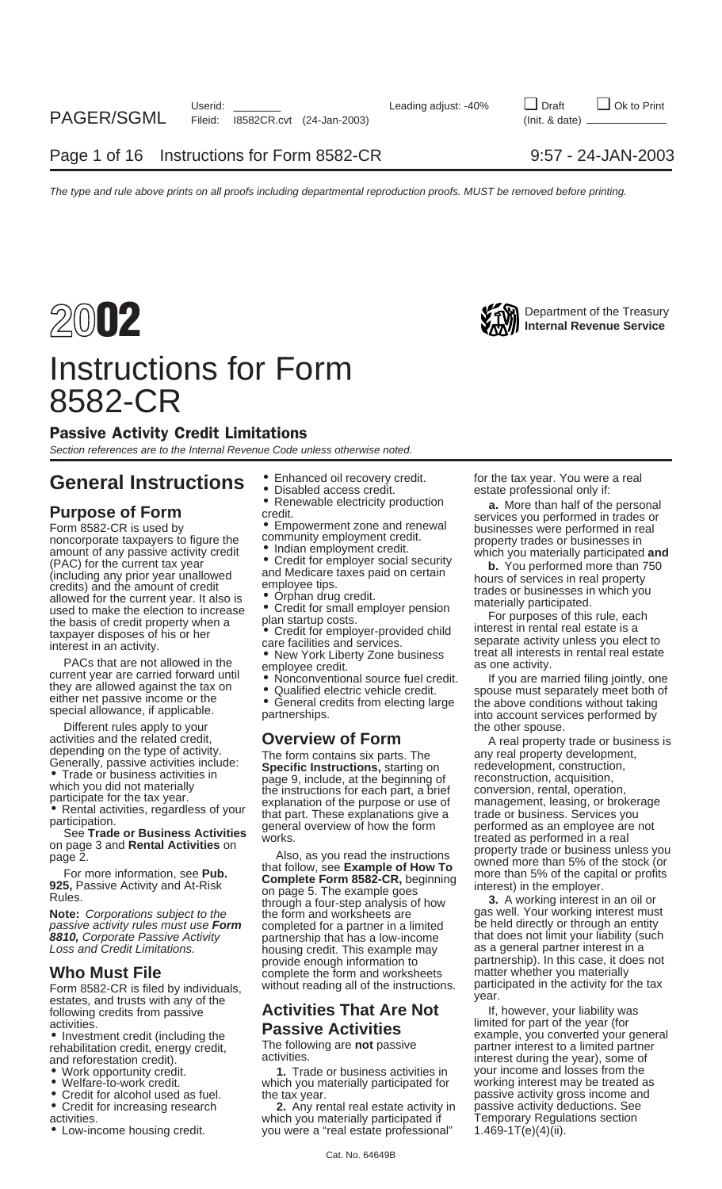

## Instructions for Form 8582-CR

### Passive Activity Credit Limitations

Section references are to the Internal Revenue Code unless otherwise noted.

# General Instructions  $\bullet$  Enhanced oil recovery credit. for the tax year. You were a real<br> **Purpose of Form**<br> **Purpose of Form**<br> **Purpose of Form**<br> **Purpose of Form**<br> **Purpose of Form**<br> **Purpose of Form**<br> **Purpose of Form**

(PAC) for the current tax year exercise of the current tax year exercises and the amount of credit or employer social security<br>
(including any prior year unallowed and Medicare taxes paid on certain<br>
credits) and the amoun

PACs that are not allowed in the<br>current year are carried forward until<br>they are allowed against the tax on<br>either net passive income or the<br>special allowance, if applicable.<br>Special allowance, if applicable.<br>Special allow

Different rules apply to your<br>ivities and the related credit, **OVerView of Form** the other spouse.

Form 8582-CR is filed by individuals, without reading all of the instructions. participated in the activity for the estates, and trusts with any of the **Activities That Are Not** year. Form assive **Activities That Are Not** following credits from passive **Activities That Are Not** 

- 
- 
- 
- 
- 
- 
- 

- 
- 

- 
- 

Rules.<br>**Note:** Corporations subject to the form and worksheets are gas well. Your working interest must vertext must vertext must passive activity rules must use **Form** completed for a partner in a limited be held directly or through an entity **8810,** Corporate Passive Activity bartnership that has a low-income that does not limit your liability (such a<br>Loss and Credit Limitations. housing credit. This example may as a general partner interest in a housing credit. This example may<br>provide enough information to **Who Must File** complete the form and worksheets matter whether you materially<br>Form 8582-CR is filed by individuals without reading all of the instructions. participated in the activity for the tax

• Work opportunity credit. **1.** Trade or business activities in your income and losses from the which you materially participated for

activities.<br>• Low-income housing credit. which you materially participated if Temporary Regulations sections views of the<br>time a "real estate professional" 1.469-1T(e)(4)(ii). • Low-income housing credit. you were a "real estate professional"

Form 8582-CR is used by<br>
noncorporate taxpayers to figure the community employment credit.<br>
amount of any passive activity credit • Indian employment credit.<br>
amount of any passive activity credit • Indian employment credi

taxpayer disposes of his or her external real estate is a care facilities and services.<br>
The interest in an activity unless you elect to separate activity unless you elect to environmental real estate<br>
PACs that are not al

activities and the related credit,<br>
depending on the type of activity. The form contains six parts. The<br>
Generally, passive activities include:<br>
Trade or business activities in the type of activity.<br>
Trade or business acti

partnership). In this case, it does not<br>matter whether you materially

activities.<br>
• Investment credit (including the **Passive Activities** example, you converted your • Investment credit (including the **Passive Activities** example, you converted your general rehabilitation credit, energy credit, The following are not passive partner interest to a limited partner rehabilitation credit, energy credit, The following are **not** passive partner interest to a limited partner and reforestation credit).<br>
• Work opportunity credit. **1.** Trade or business activities in your income and losses • Credit for alcohol used as fuel. the tax year. passive activity gross income and<br>• Credit for increasing research **2.** Any rental real estate activity in passive activity deductions. See passive activity deductions. See<br>Temporary Regulations section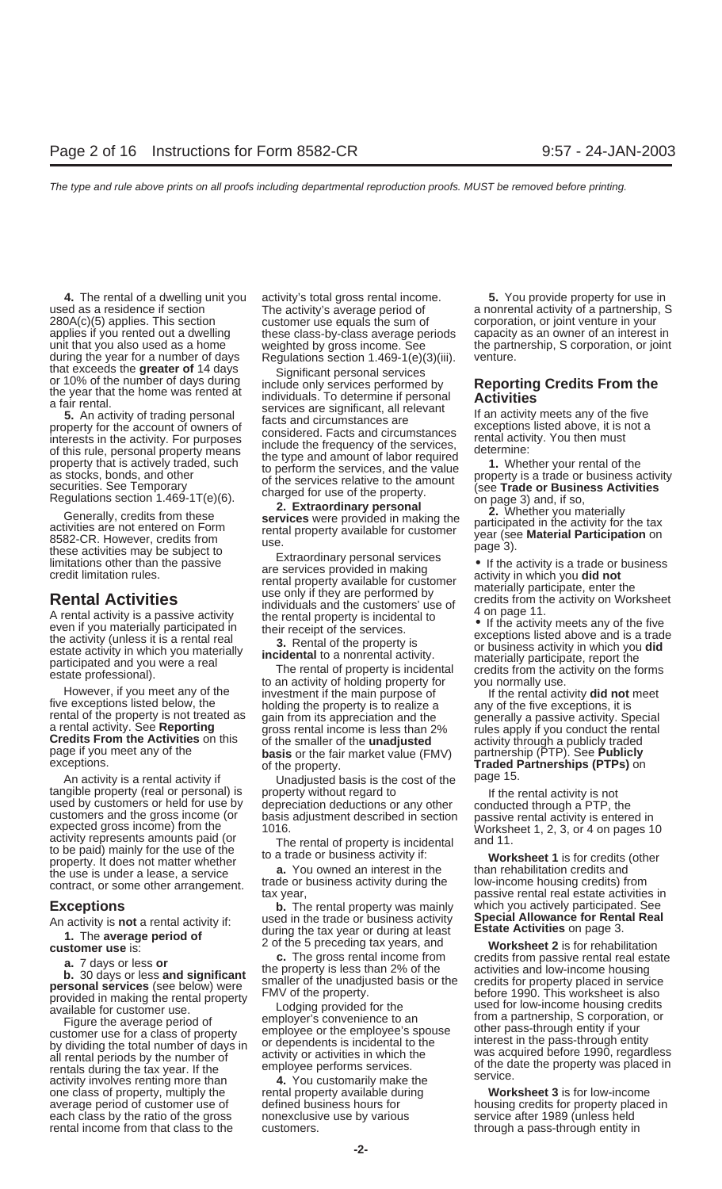exceptions. Traded F<br>An activity is a rental activity if Unadjusted basis is the cost of the page 15.<br>tangible property (real or personal) is property without regard to The intertangible property (real or personal) is property without regard to the rental activity is not<br>used by customers or held for use by depreciation deductions or any other conducted through a PTP, the<br>customers and the gross i to be paid) mainly for the use of the the to a trade or business activity if:<br>property. It does not matter whether **a**. You owned an interest in the than rehabilitation credits and<br>the use is under a lease, a service **a.**

one class of property, multiply the rental property available during **Worksheet 3** is for low-income average period of customer use of defined business hours for housing credits for property placed in each class by the ratio of the gross service use by various service after 1989 (unless held nonexclusive use by various rental income from that class to the customers. The through a pass-through entity in customers in customers.

**4.** The rental of a dwelling unit you activity's total gross rental income. **5.** You provide property for use in 280A(c)(5) applies. This section customer use equals the sum of corporation, or joint venture in your applies if you rented out a dwelling these class-by-class average periods capacity as an owner of an interest in

applies if you inented out a dwelling these class-by-class average periods capacity as an owner of an interest in<br>that tyou also used as a home weighted by gross income. See the partnership, S corporation, or joint<br>during

Five exceptions listed below, the holding the property is to realize a<br>
rental of the property is not treated as<br>
a rental activity. See **Reporting**<br> **Credits From the Activities** on this of the smaller of the **unadjusted** 

the use is under a lease, a service<br>contract, or some other arrangement. trade or business activity during the low-income housing credits) from<br>passive rental real estate activitie

**Exceptions b.** The rental property was mainly which you actively participated. See<br>An activity is not a rental activity if: used in the trade or business activity **Special Allowance for Rental Real** An activity is not a rental activity if:<br>
1. The average period of during the tax year or during at least<br>
2. of the 5 preceding tax years, and **Estate Activities** on page 3.<br> **CUSTOMER LISE IS:** 2. Of the 5 preceding tax

used as a residence if section **a non-** The activity's average period of **the anonrental activity of a partnership**, S

passive rental real estate activities in

**customer use** is:  $\frac{1}{2}$  of the 5 preceding tax years, and **Worksheet 2** is for rehabilitation **customer use** is: **2** of the 5 preceding tax years, and **worksheet 2** is for rehabilitation **a.** 7 days or less or<br> **b.** 30 days or less and significant<br> **b.** 30 days or less and significant<br> **b.** 30 days or less and significant<br> **b.** 30 days or less and significant<br> **exaller** of the unadjusted basis or the<br>
prov Figure the average period of employer's convenience to an customer use for a class of property employer's convenience to an customer use for a class of property employee or the employee's spouse of the pass-through entity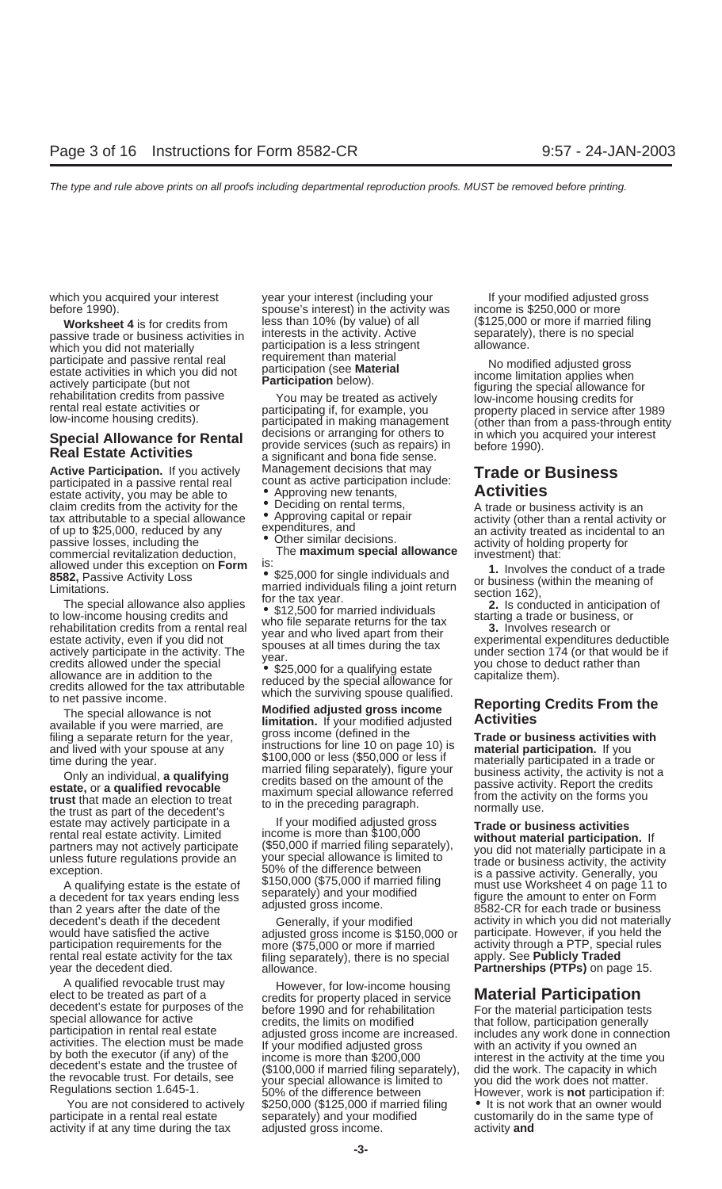which you did not materially **participation is a less stringent**<br>narticipate and passive rental real requirement than material Participate and passive rental real requirement than material<br>estate activities in which you did not<br>estate activities in which you did not<br>rehabilitation credits from passive **Participation** below).<br>rehabilitation credits

estate activity, you may be able to **•** Approving new tenants, **Activities**<br>claim credits from the activity for the • Deciding on rental terms, claim credits from the activity for the beciding on rental terms,<br>tax attributable to a special allowance • Approving capital or repair activity (other than a rental activity or<br>of up to \$25,000, reduced by any expenditure of up to \$25,000, reduced by any expenditures, and an activity treated as incidental to an passive losses, including the • Other similar decisions.<br>
The **maximum special allowance** investment) that:<br>
Maximum **special allow** commercial revitalization deduction, The **maximum special allowance** investment) that:<br>allowed under this exception on **Form** is:

allowed under this exception on Form is:<br>
SES,000 for single individuals and 1. Involves the conduct of a trade<br>
SES, Passive Activity Loss<br>
SES, Passive Activity Loss<br>
imarried individuals filing a joint return<br>
to low-in

the trust as part of the decedent's<br>
estate may actively participate in a life your modified adjusted gross<br> **Trade or business activities**<br>
rental real estate activity. Limited income is more than \$100,000 without materia

rental real estate activity for the tax filing separately), there is no special year the decedent died.

which you acquired your interest year your interest (including your The Mour modified adjusted gross before 1990). Spouse's interest) in the activity was income is \$250,000 or more **Worksheet 4** is for credits from less than 10% (by value) of all (\$125,000 or more if married filing passive trade or business activities in interests in the activity. Active separately), there is no special participation

Special Allowance for Rental decisions or arranging for others to compution in which you acquired your interest<br>Real Estate Activities a significant and bona fide sense. Active Participation. If you actively Management decisions that may **Trade or Business** participated in a passive rental real count as active participation include: count as active participation include:<br>• Approving new tenants,

filing a separate return for the year, gross income (defined in the separate or business activities with and lived with your spouse at any instructions for line 10 on page 10) is **material participation**. If you see the ve

partners may not actively participate (\$50,000 if married filing separately),<br>unless future regulations provide an your special allowance is limited to<br>exception. 50% of the difference between is a passive activity, the ac

adjusted gross income is \$150,000 or participation requirements for the more (\$75,000 or more if married activity through a PTP, special rules<br>rental real estate activity for the tax filing separately), there is no special apply. See **Publicly Traded** allowance. **Partnerships (PTPs)** on page 15.

A qualified revocable trust may<br>
elect to be treated as part of a<br>
decedent's estate for purposes of the<br>
special allowance for active<br>
special allowance for active<br>
activities. The election must be made<br>
activities. The e yulations section 1.645-1.<br>You are not considered to actively \$250,000 (\$125,000 if married filing  $\bullet$  It is not work that an owner would<br>ticipate in a rental real estate separately) and your modified customarily do in th participate in a rental real estate separately) and your modified customarily do in the same type of activity if at any time during the tax adjusted gross income. activity **and**

time during the year.<br>
The during the year.<br>
Only an individual, **a qualifying**<br> **Example the state, or a qualified revocable**<br> **Example that made an election to treat**<br>
that made an election to treat<br>
the trust as part of

rental real estate activity. Limited income is more than \$100,000 **without material participation.** If<br>partners may not actively participate (\$50,000 if married filing separately), you did not materially participate in a A qualifying estate is the estate of \$150,000 (\$75,000 if married filing<br>a decedent for tax years ending less separately) and your modified<br>than 2 years after the date of the adjusted gross income. 8582-CR for each trade o decedent's death if the decedent Generally, if your modified activity in which you did not materially<br>would have satisfied the active adjusted gross income is \$150,000 or participate. However, if you held the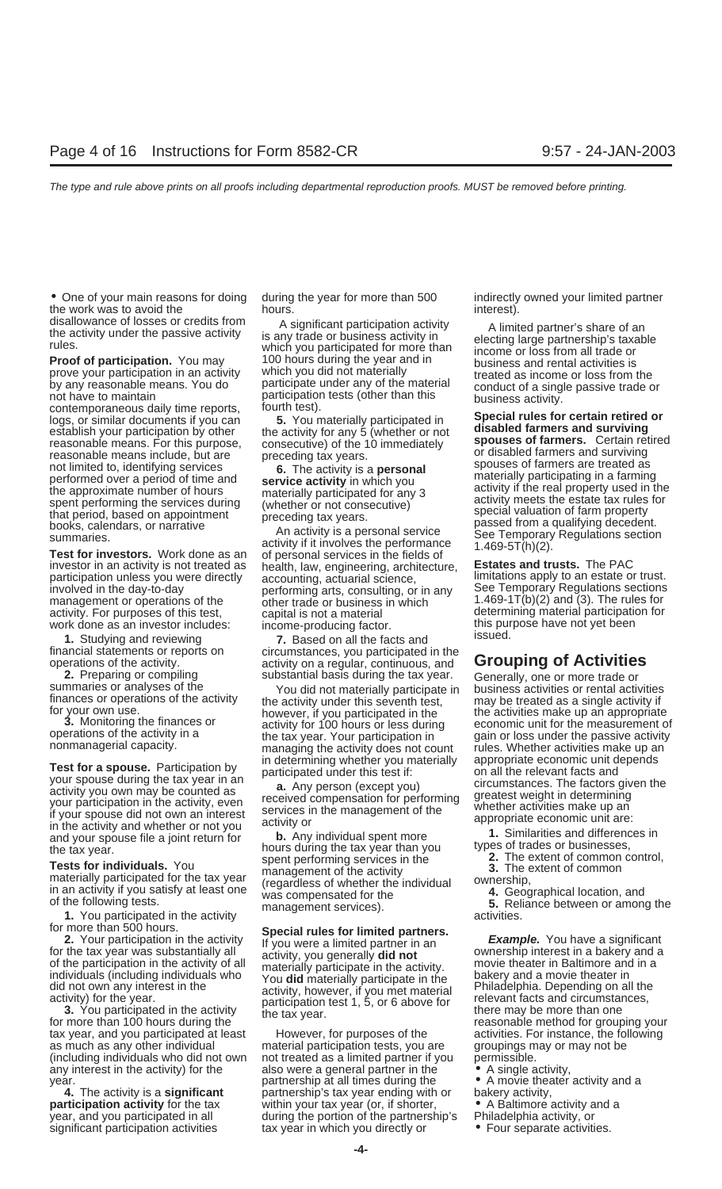• One of your main reasons for doing during the year for more than 500 indirectly owned your limited partner the work was to avoid the hours. Interest hours.

**Proof of participation.** You may 100 hours during the year and in business and rental activities is prove your participation in an activity which you did not materially treated as income or loss from the prove your participation in an activity which you did not materially exacted as income or loss from the by any reasonable means. You do participate under any of the material conduct of a single passive trade or by any reasonable means. You do participate under any of the material conduct of a single passive trade or<br>not have to maintain participation tests (other than this business activity.<br>logs, or similar documents if you can

investor in an activity is not treated as bealth, law, engineering, architecture, **Estates and trusts.** The PAC<br>participation unless you were directly accounting, actuarial science, limitations apply to an estate or trust. management or operations of the other trade or business in which  $1.469-1T(b)(2)$  and (3). The rules for activity. For purposes of this test, capital is not a material work done as an investor includes: income-producing factor. this purpose have not yet been assumed.

**2.** Preparing or compiling substantial basis during the tax year. Generally, one or more trade or summaries or analyses of the  $\frac{1}{2}$  You did not materially participate in business activities or rental activities finan

Test for a spouse. Participation by<br>
your spouse during the tax year in an<br>
activity you own may be counted as<br>
your spouse during the tax year in an<br>
your participation in the activity, even<br>
if your spouse did not own an

**1.** You participated in the activity management services). **1.** You participated in the activity activities.<br> **1.** You participated in the activity **Special rules for limited partners** activities.

tax year, and you participated at least However, for purposes of the activities. For instance, the following as much as any other individual material participation tests, you are groupings may or may not be (including individuals who did not own not treated as a limited partner if you permissible. any interest in the activity) for the also were a general partner in the  $\bullet$  A single activity,

disallowance of losses or credits from A significant participation activity<br>the activity under the passive activity<br>rules.<br>**Proof of participation.** You may 100 hours during the year and in the sine or loss from all trade

involvements, consulting, or in any See Temporary Regulations sections capital is not a material exactivity. For purpose of testermining material participation for income-producing factor

**1.** Studying and reviewing **7.** Based on all the facts and financial statements or reports on circumstances, you participated in the operations of the activity.<br> **activity on a regular, continuous, and Grouping of Activities**<br> **2.** Preparing or compiling substantial basis during the tax year. Generally, one or more trade or

Finances or operations of the activity<br>for your own use the activity under this seventh test,<br>**3.** Monitoring the finances or activity for 100 hours or less during economic unit for the measurement of 3. Monitoring the finances or activity for 100 hours or less during economic unit for the measurement of operations of the activity in a the tax year. Your participation in gain or loss under the passive activity nonmanage

materially participated for the tax year<br>in an activity if you satisfy at least one (regardless of whether the individual ownership,<br>of the following tests.<br>management services). 5. Reliance between or among the

year. partnership at all times during the • A movie theater activity and a<br>4. The activity is a **significant** partnership's tax year ending with or bakery activity, partnership's tax year ending with or bakery activity, **participation activity** for the tax within your tax year (or, if shorter, a explorit A Baltimore activity and a year, and you participated in all during the portion of the partnership's Philadelphia activity, or during the portion of the partnership's Philadelphia activity, or significant participation activities tax year in which you directly or • • Four separate activities.

establish your participation by other<br>establish your participation by other<br>reasonable means. For this purpose,<br>reasonable means include, but are preceding tax years. The activity for any 5 (whether or not<br>example means in

For more than 500 hours.<br>
2. Your participation in the activity<br>
for the tax year was substantially all<br>
of the participation in the activity of all<br>
of the participation in the activity of all<br>
individuals who<br>
individual

- 
- 
- 
- 
-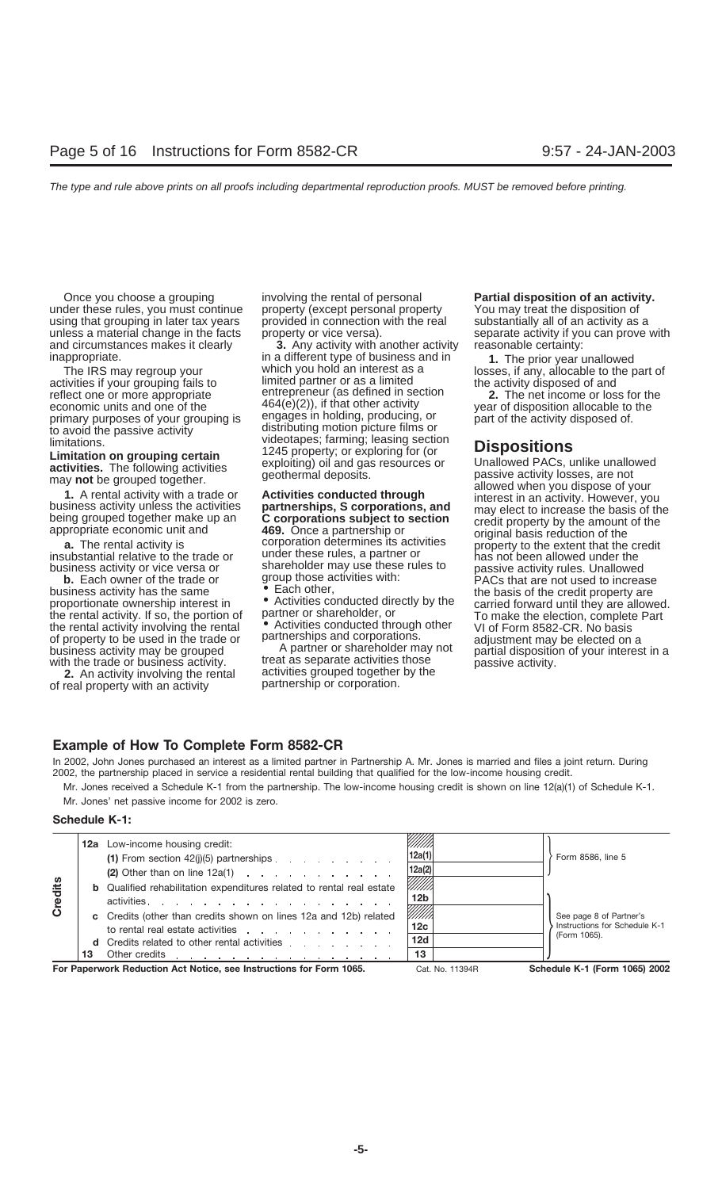under these rules, you must continue property (except personal property You may treat the disposition of using that grouping in later tax years provided in connection with the real substantially all of an activity as a using that grouping in later tax years provided in connection with the real unless a material change in the facts property or vice versa). and circumstances makes it clearly **3.** Any activity with another activity reasonable certainty:

reflect one or more appropriate entrepreneur (as defined in section reflect one or more appropriate to avoid the passive activity<br>to avoid the passive activity<br>limitations.<br>initiations.

**b.** Each owner of the trade or group those activities with:<br>business activity has the same **Each other,** the substitution of the credit property are the rental activity involving the rental  $\bullet$  Activities conducted through other and  $\bullet$  of Form 8582-CR. No basis<br>of property to be used in the trade or partnerships and corporations.<br>business activity may be grouped A p

of real property with an activity.

Once you choose a grouping involving the rental of personal **Partial disposition of an activity.**

inappropriate.<br>The prior year unallowed in a different type of business and in **1.** The prior year unallowed<br>Inses, if any, allocable to the p which you hold an interest as a losses, if any, allocable to the part of limited partner or as a limited the activity disposed of and activities if your grouping fails to limited partner or as a limited the activity disposed of and reflect one or more appropriate entrepreneur (as defined in section **2.** The net income or loss for the economic units and one of the  $464(e)(2)$ , if that other activity vear of disposition allocable to the primary purposes of your grouping is engages in holding, producing, or part of the activity disposed of.<br>to avoid the passive activity disposed of distributing motion picture films or videotapes; farming; leasing section<br>1245 property; or exploring for (or

business activity or vice versa or shareholder may use these rules to passive activity rules. Unallowed **b.** Each owner of the trade or group those activities with: **b.** Each owner of the trade or

most the trade or business activity. The treat as separate activities those passive activity.<br>2. An activity involving the rental activities grouped together by the activities grouped together by the partnership or corporation.

separate activity if you can prove with

Limitation on grouping certain activities. The following activities<br>
activities. The following activities<br>
may not be grouped together.<br>
1. A rental activity with a trade or<br>
business activity with a trade or<br>
being groupe appropriate economic unit and **409.** Once a partnership or any original basis reduction of the extent that the credit insubstantial relative to the trade or insubstantial relative to the trade or has not been allowed under business activity has the same<br>
proportionate ownership interest in  $\bullet$  Activities conducted directly by the carried forward until they are allowed. proportionate ownership interest in activities conducted directly by the carried forward until they are allowed.<br>
To make the election, complete Part<br>
the rental activity involving the rental activity involving the rental business activity may be grouped<br>with the trade or business activity. The trade activities those partial disposition of your interest in a<br>passive activity.

### **Example of How To Complete Form 8582-CR**

In 2002, John Jones purchased an interest as a limited partner in Partnership A. Mr. Jones is married and files a joint return. During 2002, the partnership placed in service a residential rental building that qualified for the low-income housing credit.

Mr. Jones received a Schedule K-1 from the partnership. The low-income housing credit is shown on line 12(a)(1) of Schedule K-1. Mr. Jones' net passive income for 2002 is zero.

### **Schedule K-1:**

|                |    | <b>12a</b> Low-income housing credit:                                                                                                    | 12a(1)                    |                                                          |
|----------------|----|------------------------------------------------------------------------------------------------------------------------------------------|---------------------------|----------------------------------------------------------|
|                |    | (1) From section $42(j)(5)$ partnerships $\ldots$ $\ldots$ $\ldots$<br>(2) Other than on line $12a(1)$                                   | 12a(2)                    | Form 8586, line 5                                        |
| <b>Credits</b> |    | <b>b</b> Qualified rehabilitation expenditures related to rental real estate<br>activities.                                              | VIIII)<br>12 <sub>b</sub> |                                                          |
|                |    | c Credits (other than credits shown on lines 12a and 12b) related<br>to rental real estate activities                                    | ///////<br>12c            | See page 8 of Partner's<br>Instructions for Schedule K-1 |
|                | 13 | d Credits related to other rental activities entitled by the control of the Credits relationship of the Credit<br>Other credits <u>.</u> | 12d<br>13                 | (Form 1065).                                             |
|                |    | For Paperwork Reduction Act Notice, see Instructions for Form 1065.                                                                      | Cat. No. 11394R           | Schedule K-1 (Form 1065) 2002                            |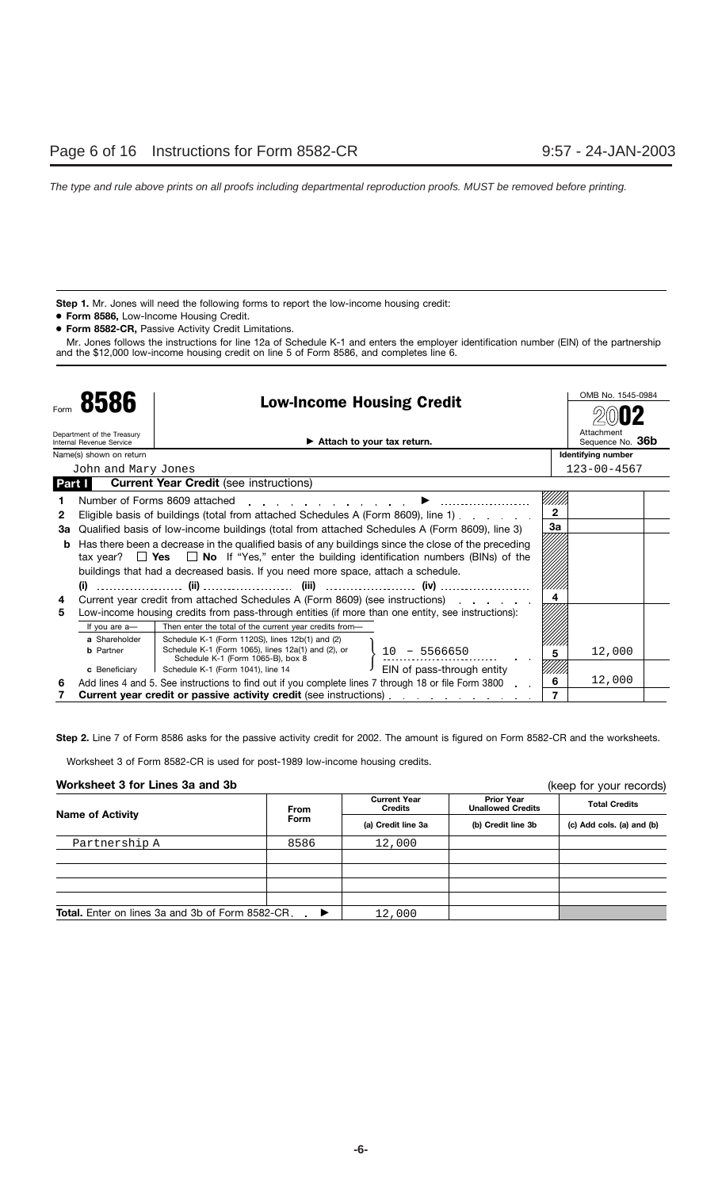**Step 1.** Mr. Jones will need the following forms to report the low-income housing credit:

- **Form 8586,** Low-Income Housing Credit.
- **Form 8582-CR,** Passive Activity Credit Limitations.

Mr. Jones follows the instructions for line 12a of Schedule K-1 and enters the employer identification number (EIN) of the partnership and the \$12,000 low-income housing credit on line 5 of Form 8586, and completes line 6.

|        |                                                        |                                                                                         |                                                                                  |                                                                                                      |                | OMB No. 1545-0984              |  |
|--------|--------------------------------------------------------|-----------------------------------------------------------------------------------------|----------------------------------------------------------------------------------|------------------------------------------------------------------------------------------------------|----------------|--------------------------------|--|
| Form   | 8586<br><b>Low-Income Housing Credit</b>               |                                                                                         |                                                                                  |                                                                                                      |                |                                |  |
|        | Department of the Treasury<br>Internal Revenue Service |                                                                                         | Attach to your tax return.                                                       |                                                                                                      |                | Attachment<br>Sequence No. 36b |  |
|        | Name(s) shown on return                                |                                                                                         |                                                                                  |                                                                                                      |                | <b>Identifying number</b>      |  |
|        | John and Mary Jones                                    |                                                                                         |                                                                                  |                                                                                                      |                | $123 - 00 - 4567$              |  |
| Part I |                                                        | <b>Current Year Credit</b> (see instructions)                                           |                                                                                  |                                                                                                      |                |                                |  |
|        |                                                        | Number of Forms 8609 attached                                                           |                                                                                  |                                                                                                      |                |                                |  |
| 2      |                                                        |                                                                                         |                                                                                  | Eligible basis of buildings (total from attached Schedules A (Form 8609), line 1).                   | $\overline{2}$ |                                |  |
| За     |                                                        |                                                                                         |                                                                                  | Qualified basis of low-income buildings (total from attached Schedules A (Form 8609), line 3)        | 3a             |                                |  |
|        |                                                        |                                                                                         |                                                                                  | Has there been a decrease in the qualified basis of any buildings since the close of the preceding   |                |                                |  |
|        |                                                        |                                                                                         |                                                                                  | tax year? $\Box$ Yes $\Box$ No If "Yes," enter the building identification numbers (BINs) of the     |                |                                |  |
|        |                                                        |                                                                                         | buildings that had a decreased basis. If you need more space, attach a schedule. |                                                                                                      |                |                                |  |
|        | (i)                                                    |                                                                                         |                                                                                  |                                                                                                      |                |                                |  |
| 4      |                                                        |                                                                                         | Current year credit from attached Schedules A (Form 8609) (see instructions)     |                                                                                                      |                |                                |  |
| 5      |                                                        |                                                                                         |                                                                                  | Low-income housing credits from pass-through entities (if more than one entity, see instructions):   |                |                                |  |
|        | If you are a-                                          | Then enter the total of the current year credits from-                                  |                                                                                  |                                                                                                      |                |                                |  |
|        | a Shareholder                                          | Schedule K-1 (Form 1120S), lines 12b(1) and (2)                                         |                                                                                  |                                                                                                      |                |                                |  |
|        | <b>b</b> Partner                                       | Schedule K-1 (Form 1065), lines 12a(1) and (2), or<br>Schedule K-1 (Form 1065-B), box 8 |                                                                                  | $-5566650$<br>10                                                                                     | 5              | 12,000                         |  |
|        | c Beneficiary                                          | Schedule K-1 (Form 1041), line 14                                                       |                                                                                  | EIN of pass-through entity                                                                           |                |                                |  |
| 6      |                                                        |                                                                                         |                                                                                  | Add lines 4 and 5. See instructions to find out if you complete lines 7 through 18 or file Form 3800 | 6              | 12,000                         |  |
|        |                                                        |                                                                                         | <b>Current year credit or passive activity credit</b> (see instructions)         |                                                                                                      |                |                                |  |

**Step 2.** Line 7 of Form 8586 asks for the passive activity credit for 2002. The amount is figured on Form 8582-CR and the worksheets.

Worksheet 3 of Form 8582-CR is used for post-1989 low-income housing credits.

### **Worksheet 3 for Lines 3a and 3b**

(keep for your records)

| ************ * *** ****** *** *** **<br>INCOP IOI YOUI ICCOIGOI          |                                                      |                    |                                               |                           |  |
|--------------------------------------------------------------------------|------------------------------------------------------|--------------------|-----------------------------------------------|---------------------------|--|
| <b>Name of Activity</b>                                                  | <b>Current Year</b><br><b>Credits</b><br><b>From</b> |                    | <b>Prior Year</b><br><b>Unallowed Credits</b> | <b>Total Credits</b>      |  |
|                                                                          | <b>Form</b>                                          | (a) Credit line 3a | (b) Credit line 3b                            | (c) Add cols. (a) and (b) |  |
| Partnership A                                                            | 8586                                                 | 12,000             |                                               |                           |  |
|                                                                          |                                                      |                    |                                               |                           |  |
|                                                                          |                                                      |                    |                                               |                           |  |
|                                                                          |                                                      |                    |                                               |                           |  |
|                                                                          |                                                      |                    |                                               |                           |  |
| <b>Total.</b> Enter on lines 3a and 3b of Form 8582-CR.<br>$\rightarrow$ |                                                      | 12,000             |                                               |                           |  |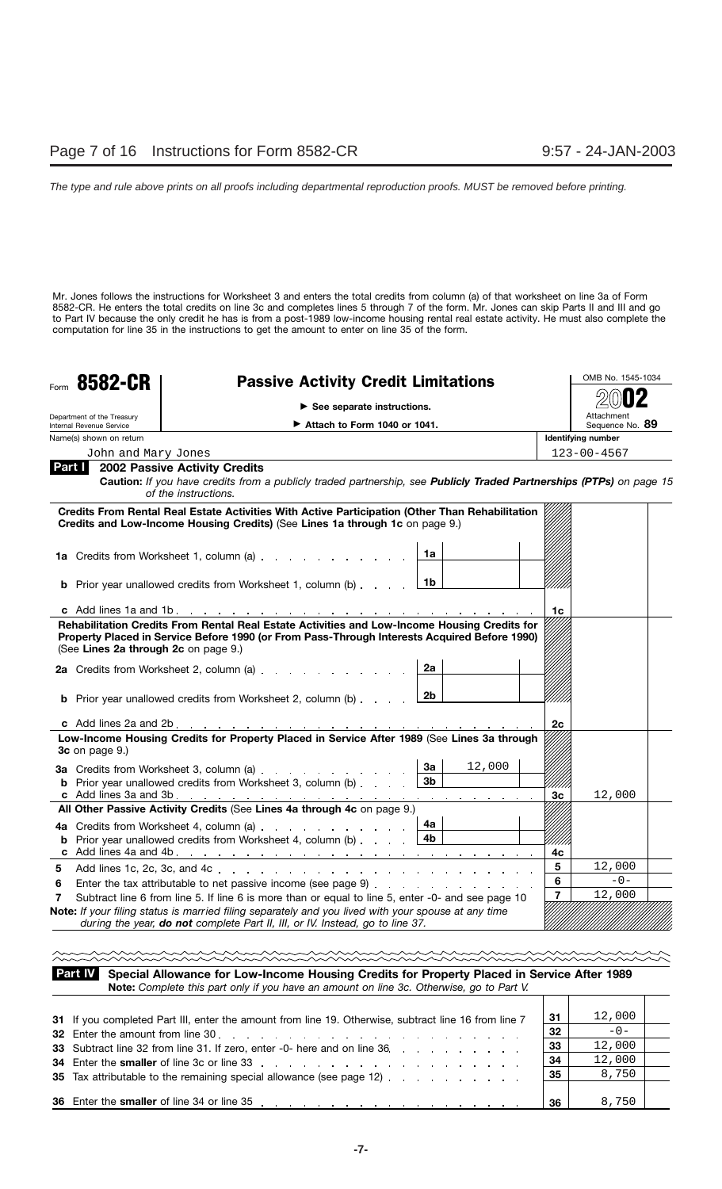Mr. Jones follows the instructions for Worksheet 3 and enters the total credits from column (a) of that worksheet on line 3a of Form 8582-CR. He enters the total credits on line 3c and completes lines 5 through 7 of the form. Mr. Jones can skip Parts II and III and go to Part IV because the only credit he has is from a post-1989 low-income housing rental real estate activity. He must also complete the computation for line 35 in the instructions to get the amount to enter on line 35 of the form.

| 8582-CR<br>Form                                        | <b>Passive Activity Credit Limitations</b>                                                                                                                                                 |                    |                | OMB No. 1545-1034             |
|--------------------------------------------------------|--------------------------------------------------------------------------------------------------------------------------------------------------------------------------------------------|--------------------|----------------|-------------------------------|
|                                                        |                                                                                                                                                                                            |                    |                |                               |
| Department of the Treasury<br>Internal Revenue Service | $\triangleright$ See separate instructions.<br>$\triangleright$ Attach to Form 1040 or 1041.                                                                                               |                    |                | Attachment<br>Sequence No. 89 |
| Name(s) shown on return                                |                                                                                                                                                                                            |                    |                | Identifying number            |
| John and Mary Jones                                    |                                                                                                                                                                                            |                    |                | $123 - 00 - 4567$             |
|                                                        | <b>Part 1</b> 2002 Passive Activity Credits<br>Caution: If you have credits from a publicly traded partnership, see Publicly Traded Partnerships (PTPs) on page 15<br>of the instructions. |                    |                |                               |
|                                                        | Credits From Rental Real Estate Activities With Active Participation (Other Than Rehabilitation<br>Credits and Low-Income Housing Credits) (See Lines 1a through 1c on page 9.)            |                    |                |                               |
|                                                        | 1a Credits from Worksheet 1, column (a)                                                                                                                                                    | 1a                 |                |                               |
|                                                        | <b>b</b> Prior year unallowed credits from Worksheet 1, column (b) $\ldots$ $\qquad$ $\boxed{\text{1b}}$                                                                                   |                    |                |                               |
|                                                        |                                                                                                                                                                                            |                    |                | 1c                            |
| (See Lines 2a through 2c on page 9.)                   | 2a Credits from Worksheet 2, column (a)<br><b>b</b> Prior year unallowed credits from Worksheet 2, column (b) $\ldots$ $\boxed{2b}$                                                        | 2a                 |                |                               |
|                                                        |                                                                                                                                                                                            |                    | 2c             |                               |
| 3c on page 9.)                                         | Low-Income Housing Credits for Property Placed in Service After 1989 (See Lines 3a through                                                                                                 |                    |                |                               |
|                                                        | 3a Credits from Worksheet 3, column (a)<br><b>b</b> Prior year unallowed credits from Worksheet 3, column (b)                                                                              | 12,000<br>3a<br>3b |                | 12,000<br>Зc                  |
|                                                        | All Other Passive Activity Credits (See Lines 4a through 4c on page 9.)                                                                                                                    |                    |                |                               |
|                                                        | 4a Credits from Worksheet 4, column (a)<br><b>b</b> Prior year unallowed credits from Worksheet 4, column (b) $\ldots$ $\begin{array}{ccc} 4b & 4b \end{array}$                            | 4a l               | 4c             |                               |
| 5                                                      |                                                                                                                                                                                            |                    | 5              | 12,000                        |
| 6                                                      | Enter the tax attributable to net passive income (see page 9)                                                                                                                              |                    | 6              | $-0-$                         |
| 7                                                      | Subtract line 6 from line 5. If line 6 is more than or equal to line 5, enter -0- and see page 10                                                                                          |                    | $\overline{7}$ | 12,000                        |
|                                                        | Note: If your filing status is married filing separately and you lived with your spouse at any time<br>during the year, do not complete Part II, III, or IV. Instead, go to line 37.       |                    |                |                               |

**Special Allowance for Low-Income Housing Credits for Property Placed in Service After 1989 Note:** *Complete this part only if you have an amount on line 3c. Otherwise, go to Part V.* **Part IV**

| 31 If you completed Part III, enter the amount from line 19. Otherwise, subtract line 16 from line 7 | 31 | 12,000 |  |
|------------------------------------------------------------------------------------------------------|----|--------|--|
|                                                                                                      | 32 | $-0-$  |  |
| 33 Subtract line 32 from line 31. If zero, enter -0- here and on line 36                             | 33 | 12,000 |  |
| 34 Enter the smaller of line 3c or line 33 and the state of the state of the state of the smaller    | 34 | 12,000 |  |
| 35 Tax attributable to the remaining special allowance (see page 12)                                 | 35 | 8,750  |  |
|                                                                                                      |    |        |  |
|                                                                                                      | 36 | 8,750  |  |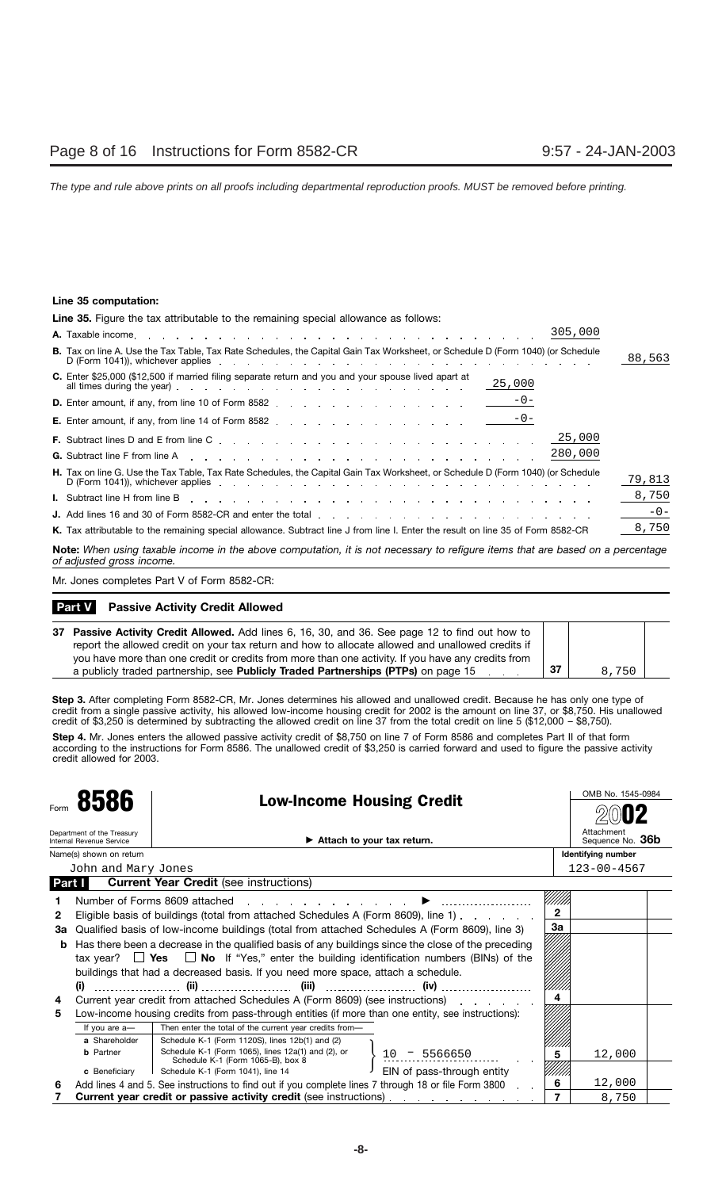### **Line 35 computation:**

**Line 35.** Figure the tax attributable to the remaining special allowance as follows: **A.** Taxable income 305,000 Tax on line A. Use the Tax Table, Tax Rate Schedules, the Capital Gain Tax Worksheet, or Schedule D (Form 1040) (or Schedule **B.** 88,563 D (Form 1041)), whichever applies extended by the contract of the contract of the contract of the contract of the contract of the contract of the contract of the contract of the contract of the contract of the contract of **Contract Contract C.** Enter \$25,000 (\$12,500 if married filing separate return and you and your spouse lived apart at  $\frac{25,000}{25,000}$  ( $\frac{1}{2}$ ,  $\frac{1}{200}$  in malled lilling separate return and you and you spouse lived apart at  $\frac{25,000}{25}$ **D.** Enter amount, if any, from line 10 of Form 8582 -0- **E.** Enter amount, if any, from line 14 of Form 8582 . . . . . . . . . . . . . . . . . .  $\frac{-0-1}{2}$ 25,000 **F.** Subtract lines D and E from line C 280,000 **G.** Subtract line F from line A **H.** Tax on line G. Use the Tax Table, Tax Rate Schedules, the Capital Gain Tax Worksheet, or Schedule D (Form 1040) (or Schedule Tax official Cose the Tax Table, Tax Table Schedules, the Capital Calif Tax Worksheet, or Schedule D (1 0111 1040) (Or Schedule 2 (1 011 1040) (Or Schedule 2 (1 011 1040) (Or Schedule 2 (1 011 1040) (Or Schedule 2 (1 011 1 8,750 **I.** Subtract line H from line B **J.** Add lines 16 and 30 of Form 8582-CR and enter the total -0- K. Tax attributable to the remaining special allowance. Subtract line J from line I. Enter the result on line 35 of Form 8582-CR <u>8,750</u>

**Note:** *When using taxable income in the above computation, it is not necessary to refigure items that are based on a percentage of adjusted gross income.*

Mr. Jones completes Part V of Form 8582-CR:

### **Passive Activity Credit Allowed Part V**

| 37 Passive Activity Credit Allowed. Add lines 6, 16, 30, and 36. See page 12 to find out how to    |    |       |  |
|----------------------------------------------------------------------------------------------------|----|-------|--|
| report the allowed credit on your tax return and how to allocate allowed and unallowed credits if  |    |       |  |
| you have more than one credit or credits from more than one activity. If you have any credits from |    |       |  |
| a publicly traded partnership, see <b>Publicly Traded Partnerships (PTPs)</b> on page 15           | 37 | 8.750 |  |

**Step 3.** After completing Form 8582-CR, Mr. Jones determines his allowed and unallowed credit. Because he has only one type of credit from a single passive activity, his allowed low-income housing credit for 2002 is the amount on line 37, or \$8,750. His unallowed credit of \$3,250 is determined by subtracting the allowed credit on line 37 from the total credit on line 5 (\$12,000 – \$8,750).

Step 4. Mr. Jones enters the allowed passive activity credit of \$8,750 on line 7 of Form 8586 and completes Part II of that form according to the instructions for Form 8586. The unallowed credit of \$3,250 is carried forward and used to figure the passive activity credit allowed for 2003.

|              |                                                               | <b>Low-Income Housing Credit</b>                                                                     |                                       |                | OMB No. 1545-0984              |  |
|--------------|---------------------------------------------------------------|------------------------------------------------------------------------------------------------------|---------------------------------------|----------------|--------------------------------|--|
|              | 8586                                                          |                                                                                                      |                                       |                |                                |  |
|              | Department of the Treasury<br><b>Internal Revenue Service</b> | $\blacktriangleright$ Attach to your tax return.                                                     |                                       |                | Attachment<br>Sequence No. 36b |  |
|              | Name(s) shown on return                                       |                                                                                                      |                                       |                | Identifying number             |  |
|              | John and Mary Jones                                           |                                                                                                      |                                       |                | $123 - 00 - 4567$              |  |
|              | <b>Part I</b>                                                 | <b>Current Year Credit (see instructions)</b>                                                        |                                       |                |                                |  |
|              |                                                               | Number of Forms 8609 attached                                                                        |                                       |                |                                |  |
| $\mathbf{2}$ |                                                               | Eligible basis of buildings (total from attached Schedules A (Form 8609), line 1)                    |                                       | $\overline{2}$ |                                |  |
| За           |                                                               | Qualified basis of low-income buildings (total from attached Schedules A (Form 8609), line 3)        |                                       | За             |                                |  |
| b            |                                                               | Has there been a decrease in the qualified basis of any buildings since the close of the preceding   |                                       |                |                                |  |
|              |                                                               | tax year? $\Box$ Yes $\Box$ No If "Yes," enter the building identification numbers (BINs) of the     |                                       |                |                                |  |
|              |                                                               | buildings that had a decreased basis. If you need more space, attach a schedule.                     |                                       |                |                                |  |
|              |                                                               |                                                                                                      |                                       |                |                                |  |
| 4            |                                                               | Current year credit from attached Schedules A (Form 8609) (see instructions)                         |                                       | 4              |                                |  |
| 5            |                                                               | Low-income housing credits from pass-through entities (if more than one entity, see instructions):   |                                       |                |                                |  |
|              | If you are a-                                                 | Then enter the total of the current year credits from-                                               |                                       |                |                                |  |
|              | a Shareholder                                                 | Schedule K-1 (Form 1120S), lines 12b(1) and (2)                                                      |                                       |                |                                |  |
|              | <b>b</b> Partner                                              | Schedule K-1 (Form 1065), lines 12a(1) and (2), or                                                   | $-5566650$<br>10                      | 5              | 12,000                         |  |
|              |                                                               | Schedule K-1 (Form 1065-B), box 8                                                                    |                                       |                |                                |  |
|              | c Beneficiary                                                 | Schedule K-1 (Form 1041), line 14                                                                    | EIN of pass-through entity            |                | 12,000                         |  |
| 6            |                                                               | Add lines 4 and 5. See instructions to find out if you complete lines 7 through 18 or file Form 3800 |                                       | 6              |                                |  |
|              |                                                               | Current year credit or passive activity credit (see instructions).                                   | and the company of the company of the |                | 8,750                          |  |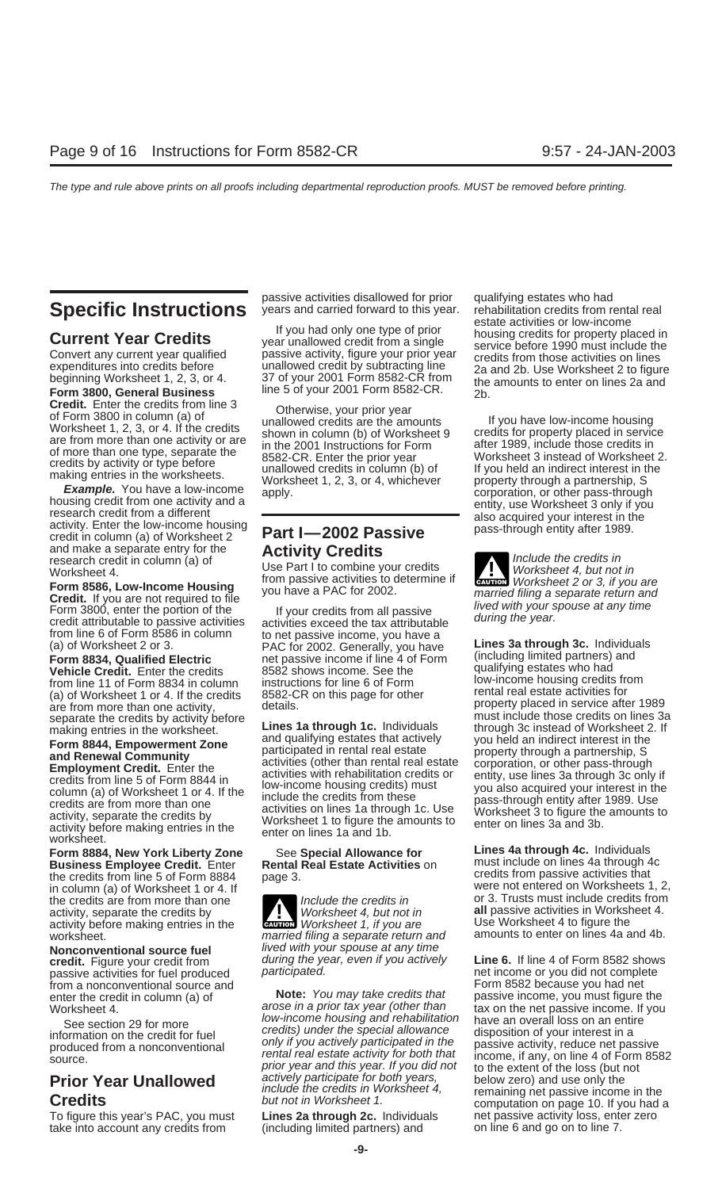and make a separate entry for the **Activity Credits**<br>
Very discussion of Use Part I to combine your credits **Include the credits in**<br>
Worksheet 4, but not in

Form 8586, Low-Income Housing<br>
Credit. If you are not required to file<br>
Form 3800, enter the portion of the Theory of The Trum and Trum and Trum and<br>
Form 3800, enter the portion of the Trum and Trum and Trum and Trum and

**Form 8834, Qualified Electric** and passive income if line 4 of Form (including limited partners)<br> **Vehicle Credit** Enter the credits and 8582 shows income See the qualifying estates who had **Vehicle Credit.** Enter the credits and 8582 shows income. See the finallying estates who had **Vehicle Credits** from<br>from line 11 of Form 8834 in column instructions for line 6 of Form and low-income housing credits from from line 11 of Form 8834 in column instructions for line 6 of Form low-income housing credits from (a) of Worksheet 1 or 4. If the credits 8582-CR on this page for other separate the credits by activity before<br>making entries in the worksheet 2. If<br>making entries in the worksheet 2. If

**Business Employee Credit.** Enter **Rental Real Estate Activities** on **the must include on lines 4a through 4** the credits from passive activities that in column (a) of Worksheet 1 or 4. If activity, separate the credits by **Worksheet 4, but not in all** passive activities in Worksheet 4.<br>activity before making entries in the **caution** Worksheet 1, if you are Use Worksheet 4 to figure the activity before making entries in the worksheet. making connect them are married filing a separate return and amounts to enter on lines 4a and 4b.

from a nonconventional source and<br>enter the credit in column (a) of **Note:** You may take credits that

To figure this year's PAC, you must **Lines 2a through 2c.** Individuals and passive activity loss, enter zero take into account any credits from (including limited partners) and on line 6 and go on to line 7. take into account any credits from

Worksheet 4. Use Part I to combine your credits Worksheet 4, but not in the second of the component of the compo<br>**Form 8586, Low-Income Housing** by the a PAC for 2002.

From line 6 of Form 8586 in column to net passive income, you have a<br>
(a) of Worksheet 2 or 3. PAC for 2002. Generally, you have **Lines 3a through 3c.** Individuals<br> **Eorm 8834 Qualified Electric** net passive income if line

Supervisor of viewing entries in the worksheet.<br> **Example the set of viewing entries in the worksheet.**<br> **Example the set of the set of the set of the set of the set of the set of the set of the set of the set of the set o** 

**Nonconventional source fuel** lived with your spouse at any time<br>**credit**. Figure your credit from during the year, even if you actively

enter the credit in column (a) of **Note:** You may take credits that passive income, you must figure the Worksheet 4. arose in a prior tax year (other than tax on the net passive income. If you<br>
See section 29 for more low-income housing and rehabilitation have an overall loss on an entire See section 29 for more low-income housing and rehabilitation have an overall loss on an entirely<br>See section 29 for more credit for fuel credits) under the special allowance disposition of your interest in a Gee section 25 for more<br>information on the credit for fuel and only if you actively participated in the produced from a nonconventional<br>source.<br>Source. The special and this year. If you did not to the extent of the loss (b

passive activities disallowed for prior qualifying estates who had<br> **Specific Instructions** years and carried forward to this year. rehabilitation credits from rental real<br>
estate activities or low-income **Current Year Credits**<br>
Convert any current year qualified<br>
Experiment of the state activities or low-income<br>
Convert any current year qualified<br>
expenditures into credits before<br>
beginning Worksheet 1, 2, 3, or 4. 37 of y **Form 3800, General Business** line 5 of your 2001 Form 8582-CR from the amounts to enter on lines 2a and **Form 3800, General Business** line 5 of your 2001 Form 8582-CR. **2**b. **Credit.** Enter the credits from line 3 continu

Credit. Enter the credits from line 3<br>
Worksheet 1, 2, 3, or 4. If the credits are the amounts<br>
Worksheet 1, 2, 3, or 4. If the credits<br>
are from more than one activity or are<br>
of more than one per separate the<br>
credits by

**ENTION** Worksheet 2 or 3, if you are

(a) of Worksheet 1 or 4. If the credits absequence than one activity, the credits details.<br>are from more than one activity, details. property placed in service after 1989 are from more than one activity, details.<br>separate

**Form 8884, New York Liberty Zone** See Special Allowance for **Lines 4a through 4c.** Individuals<br>**Business Employee Credit.** Enter Rental Real Estate Activities on must include on lines 4a through 4c the credits from line 5 of Form 8884 page 3. credits from passive activities that the credits from passive activities that the column (a) of Worksheet 1 or 4 If the credits are from more than one Include the credits in or 3. Trusts must include credits from activity, separate the credits by Worksheet 4, but not in all passive activities in Worksheet 4.

**credit.** Figure your credit from during the year, even if you actively **Line 6.** If line 4 of Form 8582 shows nessive activities for fuel produced participated. passive activities for fuel produced participated. The method of the income or you did not complete<br>The participate of the participated participated. The method of the method of the form 8582 because you had net **Prior Year Unallowed** actively participate for both years, below zero) and use only the<br> **Credits** but not in Worksheet 1. Credits on page 10. If you had a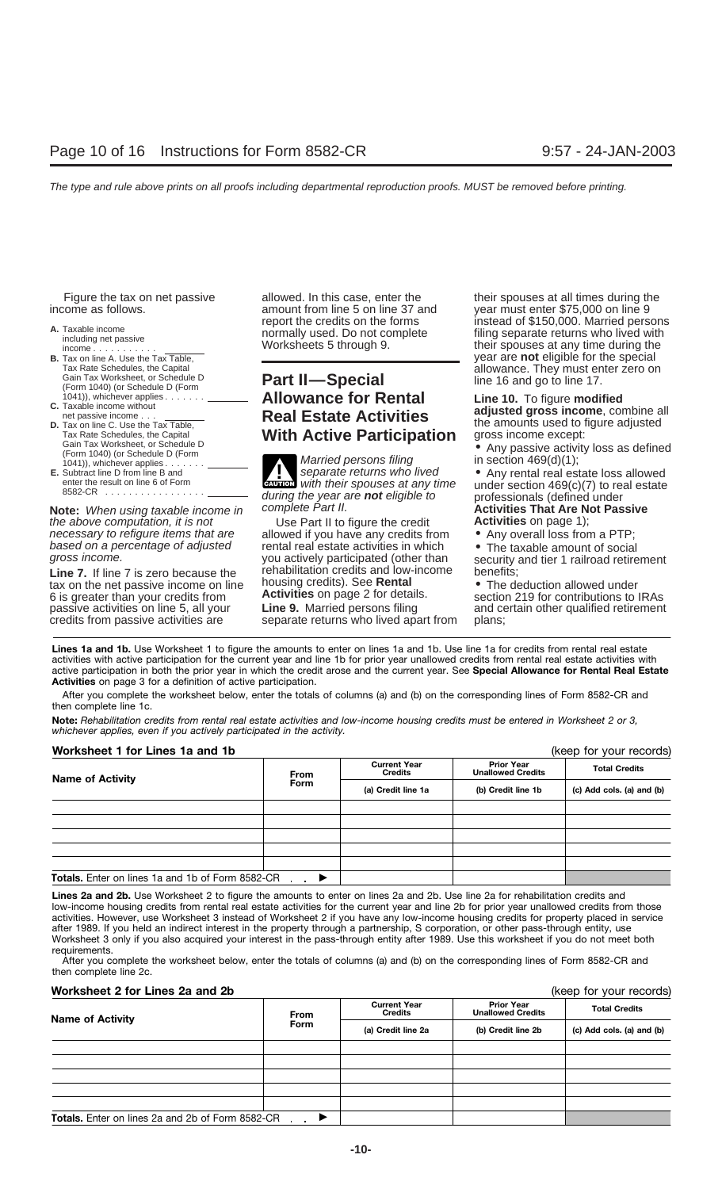- 
- 
- 
- **D.** Tax on line C. Use the Tax Table,<br>
Tax Morksheet, or Schedule D<br>
Gain Tax Worksheet, or Schedule D<br>
(Form 1040) (or Schedule D<br>
(Form 1040) (or Schedule D<br>
(Form 1040) (or Schedule D<br>
(Form 1040) (or Schedule D<br>
(Form
- 

**Note:** When using taxable income in complete Part II. **Activities That Are Not Passive**<br>the above computation, it is not and the Part II to figure the credit **Activities** on page 1); the above computation, it is not Use Part II to figure the credit **Activities** on page 1);<br>
necessary to refigure items that are allowed if you have any credits from **•** Any overall loss from a PTP;

Line 7. If line 7 is zero because the rehabilitation credits and low-income benefits;<br>
In the net passive income on line bousing credits). See **Rental e** The deduction allowed under<br>
6 is greater than your credits from **Ac** 6 is greater than your credits from

# Tax Rate Schedules, the Capital **allowance. They must enter zero on**<br>
Gain Tax Worksheet, or Schedule D<br>
(Form 1040) (or Schedule D (Form **Part II—Special line 16** and go to line 17. **(Form 1040) (or Schedule D (Form 2011)**  $\frac{1041)}{1041}$ , whichever applies  $\frac{1}{2}$ . The set of the set of the set of the set of the set of the set of the set of the set of the set of the set of the set of the set of the set of the set of the set of the set o

Subtract line D from line B and<br>enter the result on line 6 of Form<br>8582-CR<br>8582-CR CAUTION during the year are **not** eligible to professionals (defined under complete Part II.

allowed if you have any credits from  $\bullet$  Any overall loss from a PTP;<br>rental real estate activities in which  $\bullet$  The taxable amount of social based on a percentage of adjusted rental real estate activities in which *gross income.*<br>
you actively participated (other than

passive activities on line 5, all your **Line 9.** Married persons filing and certain other qualified retirement credits from passive activities are separate returns who lived apart from plans;

Figure the tax on net passive allowed. In this case, enter the their spouses at all times during the income as follows. amount from line 5 on line 37 and year must enter \$75,000 on line 9<br>report the credits on the forms instead of \$150,000. Married persons **A.** Taxable income norms including net passive including net passive normally used. Do not complete filing separate returns who lived with income including net passive Worksheets 5 through 9. income ........... Worksheets 5 through 9. their spouses at any time during the **B.** Tax on line A. Use the Tax Table,  $\overline{a}$  and  $\overline{b}$  are  $\overline{b}$  and  $\overline{b}$  are  $\overline{b}$  and  $\overline{b}$  and  $\overline{b}$  are **not** eligible for the special  $\overline{b}$  and  $\overline{b}$  and  $\overline{b}$  and  $\overline{b}$  and  $\overline{b}$ 

you actively participated (other than security and tier 1 railroad retirement rehabilitation credits and low-income benefits;

Lines 1a and 1b. Use Worksheet 1 to figure the amounts to enter on lines 1a and 1b. Use line 1a for credits from rental real estate activities with active participation for the current year and line 1b for prior year unallowed credits from rental real estate activities with active participation in both the prior year in which the credit arose and the current year. See **Special Allowance for Rental Real Estate Activities** on page 3 for a definition of active participation.

After you complete the worksheet below, enter the totals of columns (a) and (b) on the corresponding lines of Form 8582-CR and then complete line 1c.

**Note:** *Rehabilitation credits from rental real estate activities and low-income housing credits must be entered in Worksheet 2 or 3, whichever applies, even if you actively participated in the activity.*

| Worksheet 1 for Lines 1a and 1b                  |             | (keep for your records)               |                                               |                           |  |
|--------------------------------------------------|-------------|---------------------------------------|-----------------------------------------------|---------------------------|--|
| <b>Name of Activity</b>                          | <b>From</b> | <b>Current Year</b><br><b>Credits</b> | <b>Prior Year</b><br><b>Unallowed Credits</b> | <b>Total Credits</b>      |  |
|                                                  | <b>Form</b> | (a) Credit line 1a                    | (b) Credit line 1b                            | (c) Add cols. (a) and (b) |  |
|                                                  |             |                                       |                                               |                           |  |
|                                                  |             |                                       |                                               |                           |  |
|                                                  |             |                                       |                                               |                           |  |
|                                                  |             |                                       |                                               |                           |  |
|                                                  |             |                                       |                                               |                           |  |
| Totals. Enter on lines 1a and 1b of Form 8582-CR |             |                                       |                                               |                           |  |

Lines 2a and 2b. Use Worksheet 2 to figure the amounts to enter on lines 2a and 2b. Use line 2a for rehabilitation credits and low-income housing credits from rental real estate activities for the current year and line 2b for prior year unallowed credits from those activities. However, use Worksheet 3 instead of Worksheet 2 if you have any low-income housing credits for property placed in service after 1989. If you held an indirect interest in the property through a partnership, S corporation, or other pass-through entity, use Worksheet 3 only if you also acquired your interest in the pass-through entity after 1989. Use this worksheet if you do not meet both requirements.

After you complete the worksheet below, enter the totals of columns (a) and (b) on the corresponding lines of Form 8582-CR and then complete line 2c.

### **Worksheet 2 for Lines 2a and 2b (keep for your records) Worksheet 2 for Lines 2a and 2b**

| <b>Name of Activity</b>                                 | <b>Current Year</b><br><b>Credits</b><br><b>From</b> |                    | <b>Prior Year</b><br><b>Unallowed Credits</b> | <b>Total Credits</b>      |  |
|---------------------------------------------------------|------------------------------------------------------|--------------------|-----------------------------------------------|---------------------------|--|
|                                                         | <b>Form</b>                                          | (a) Credit line 2a | (b) Credit line 2b                            | (c) Add cols. (a) and (b) |  |
|                                                         |                                                      |                    |                                               |                           |  |
|                                                         |                                                      |                    |                                               |                           |  |
|                                                         |                                                      |                    |                                               |                           |  |
|                                                         |                                                      |                    |                                               |                           |  |
|                                                         |                                                      |                    |                                               |                           |  |
| <b>Totals.</b> Enter on lines 2a and 2b of Form 8582-CR |                                                      |                    |                                               |                           |  |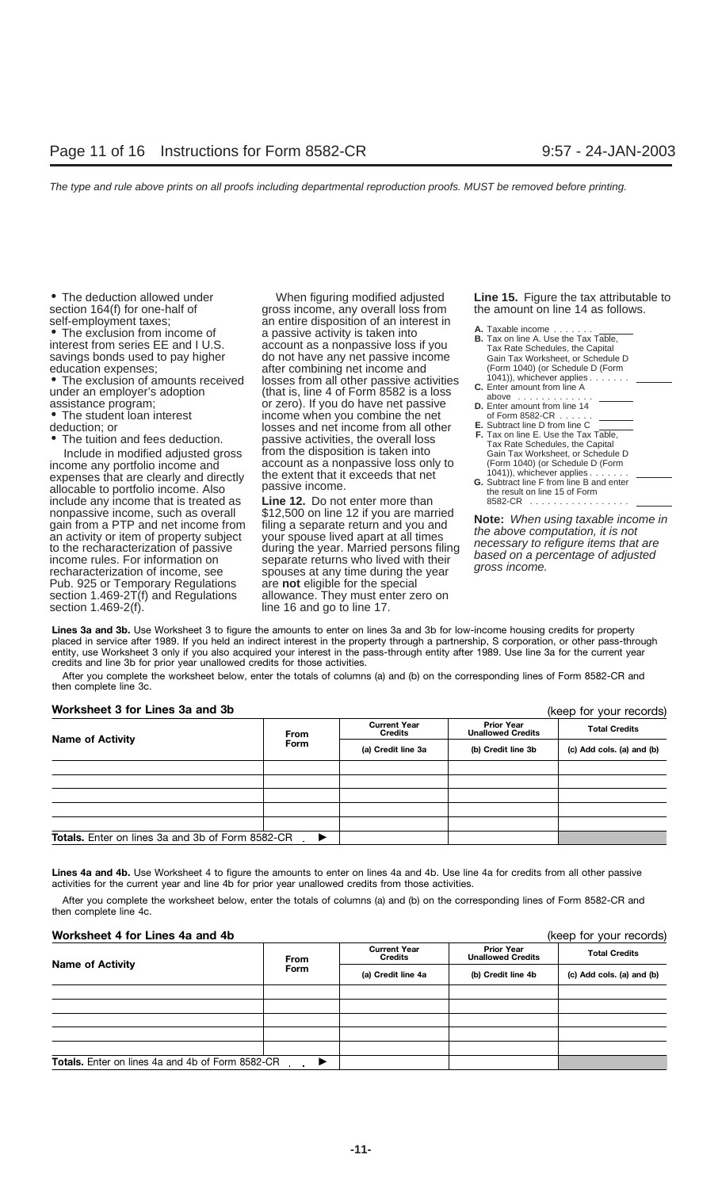allocable to portfolio income. Also passive income.<br>include any income that is treated as **Line 12.** Do not enter more than **18 of Form**  $8582-CR$  .............. include any income that is treated as **Line 12.** Do not enter more than nonpassive income, such as overall  $$12,500$  on line 12 if you are married Pub. 925 or Temporary Regulations are **not** eligible for the special section 1.469-2T(f) and Regulations allowance. They must enter zero on section 1.469-2(f). Inc 16 and go to line 17.

• The deduction allowed under **When figuring modified adjusted Line 15.** Figure the tax attributable to section 164(f) for one-half of **come system** any overall loss from the amount on line 14 as follows. section 164(f) for one-half of gross income, any overall loss from self-employment taxes; some the amount on line the amount of an interest in Self-employment taxes;<br>
■ The exclusion from income of an entire disposition of an interest in<br>
interest from series EE and I U.S. account as a nonpassive loss if you are allowed by the Tax Rate Schedules, the Capital Interest from series EE and I U.S. account as a nonpassive loss if you Tax Rate Schedules, the Capital<br>Savings bonds used to pay higher do not have any net passive income Gain Tax Worksheet, or Schedule D<br>education expense education expenses; education expenses; after combining net income and (Form 1040) (or Schedule D<br>• The exclusion of amounts received losses from all other passive activities (1041)), whichever applies. • The exclusion of amounts received losses from all other passive activities<br>
under an employer's adoption (that is, line 4 of Form 8582 is a loss above the above the above the susistance program;<br>
The student loan interes • The student loan interest income when you combine the net of Form 8582-CR ......<br>deduction; or deduction; or • The tuition and fees deduction. passive activities, the overall loss<br>Include in modified adjusted gross from the disposition is taken into Gain Tax Rate Schedules, the Capital<br>Include in modified adjusted gross from the Include in modified adjusted gross from the disposition is taken into Gain Tax Worksheet, or Schedule I<br>Come any portfolio income and Gaccount as a nonpassive loss only to (Form 1040) (or Schedule D (Form income any portfolio income and account as a nonpassive loss only to (Form 1040) (or Schedule D expenses that are clearly and directly the extent that it exceeds that net (1041)), whichever applies expenses that are clearly and directly the extent that it exceeds that het control to the same extent that it exceeds that net control in the B and enter applies .......

nonpassive income, such as overall \$12,500 on line 12 if you are married<br>gain from a PTP and net income from filing a separate return and you and<br>an activity or item of property subject your spouse lived apart at all times line 16 and go to line 17.

- 
- 
- 
- 

**Lines 3a and 3b.** Use Worksheet 3 to figure the amounts to enter on lines 3a and 3b for low-income housing credits for property placed in service after 1989. If you held an indirect interest in the property through a partnership, S corporation, or other pass-through entity, use Worksheet 3 only if you also acquired your interest in the pass-through entity after 1989. Use line 3a for the current year credits and line 3b for prior year unallowed credits for those activities.

After you complete the worksheet below, enter the totals of columns (a) and (b) on the corresponding lines of Form 8582-CR and then complete line 3c.

### **Worksheet 3 for Lines 3a and 3b**

| Worksheet 3 for Lines 3a and 3b                         |               | (keep for your records)        |                                               |                           |
|---------------------------------------------------------|---------------|--------------------------------|-----------------------------------------------|---------------------------|
| <b>Name of Activity</b>                                 | <b>From</b>   | <b>Current Year</b><br>Credits | <b>Prior Year</b><br><b>Unallowed Credits</b> | <b>Total Credits</b>      |
|                                                         | <b>Form</b>   | (a) Credit line 3a             | (b) Credit line 3b                            | (c) Add cols. (a) and (b) |
|                                                         |               |                                |                                               |                           |
|                                                         |               |                                |                                               |                           |
|                                                         |               |                                |                                               |                           |
|                                                         |               |                                |                                               |                           |
|                                                         |               |                                |                                               |                           |
| <b>Totals.</b> Enter on lines 3a and 3b of Form 8582-CR | $\rightarrow$ |                                |                                               |                           |

Lines 4a and 4b. Use Worksheet 4 to figure the amounts to enter on lines 4a and 4b. Use line 4a for credits from all other passive activities for the current year and line 4b for prior year unallowed credits from those activities.

After you complete the worksheet below, enter the totals of columns (a) and (b) on the corresponding lines of Form 8582-CR and then complete line 4c.

### **Worksheet 4 for Lines 4a and 4b** (keep for your records)

|                                                         | <b>From</b> | <b>Current Year</b><br><b>Credits</b> | <b>Prior Year</b><br><b>Unallowed Credits</b> | <b>Total Credits</b>      |  |
|---------------------------------------------------------|-------------|---------------------------------------|-----------------------------------------------|---------------------------|--|
| <b>Name of Activity</b>                                 | Form        | (a) Credit line 4a                    | (b) Credit line 4b                            | (c) Add cols. (a) and (b) |  |
|                                                         |             |                                       |                                               |                           |  |
|                                                         |             |                                       |                                               |                           |  |
|                                                         |             |                                       |                                               |                           |  |
|                                                         |             |                                       |                                               |                           |  |
|                                                         |             |                                       |                                               |                           |  |
| <b>Totals.</b> Enter on lines 4a and 4b of Form 8582-CR |             |                                       |                                               |                           |  |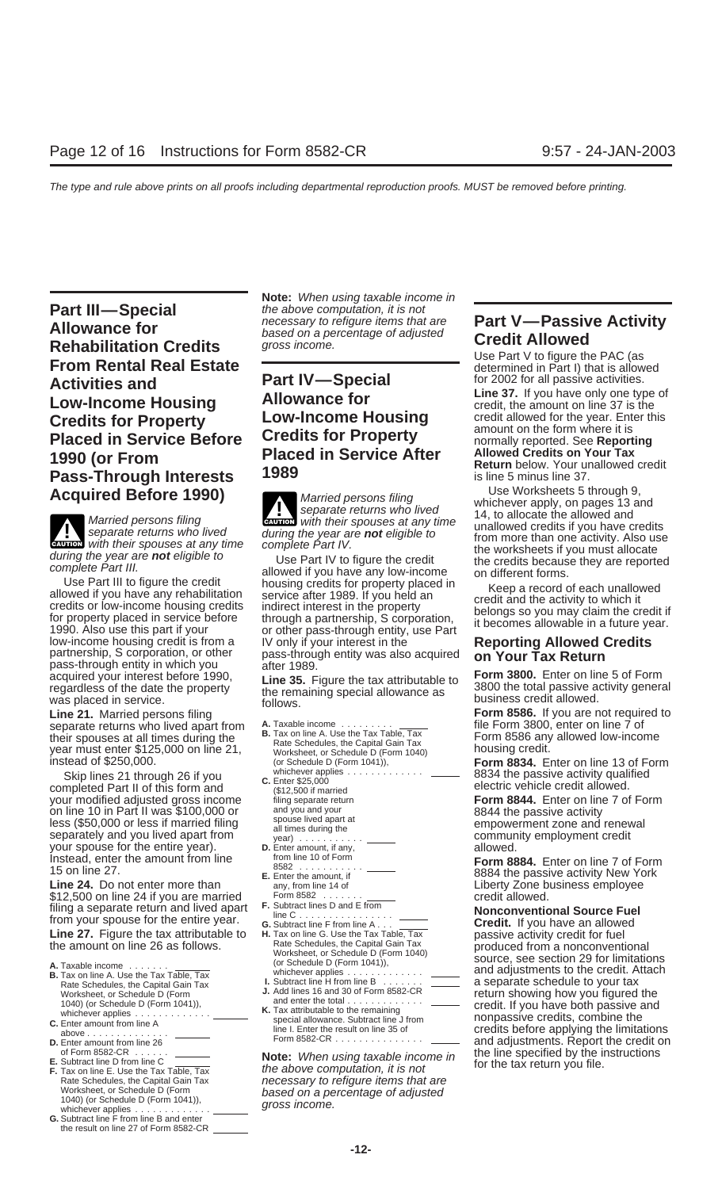**Part III—Special** the above computation, it is not<br> **Allowanes for**<br> **Allowanes for**<br> **Allowanes for** necessary to refigure items that are **Part V—Passive Activity**<br>Allowance for based on a percentage of adjusted **Credit Allowed**<br>Rehabilitation Credits *gross income.* **Rehabilitation Credits**<br> **Credit Allowed**<br> **Credit Allowed**<br>
Use Part V to figure the PAC (as<br> **From Rental Real Estate Part IV—Special** for 2002 for all passive activities.<br> **Line 37.** If you have only one type of **Line 37.** If you have only one type of **Line 37.** If you have only one type of **Credits for Property**<br> **Credits for Property**<br> **Credits for Property**<br> **Credits for Property**<br> **Credits for Property**<br> **Credits for Property**<br> **Credits for Property**<br> **Credits for Property**<br> **Credits for Property**<br> **Credi Placed in Service Before Credits for Property** and *normally reported. See Reporting*<br>1900 (ex Examele Placed in Service After Allowed Credits on Your Tax **Placed in Service After** Allowed Credits on Your Tax **Placed in Service After** Return below. Your unallowed credit<br>**Pass-Through Interests 1989** and the state of the 5 minus line 37. **Pass-Through Interests 1989** is line 5 minus line 37.<br> **Acquired Before 1990) is through 9** Use Worksheets 5 through 9,

**Extrick** with their spouses at any time

acquired your interest before 1990,<br>
regardless of the date the property<br>
was placed in service.<br>
the remaining special allowance as<br>
follows.<br>
follows.

separate returns who lived apart from A. Taxable income . . . . . . . . . . . . . . . file Form 3800, enter on line 7 of<br>their spouses at all times during the B. Tax on line A. Use the Tax Table, Tax Form 8586 any allowed

Skip lines 21 through 26 if you **C.** Enter \$25,000 **C.** Enter \$25,000 **C.** Enter \$25,000 **completed Part II of this form and c.** (\$12,500 if married electric vehicle credit allowed. The passive activity qualified electric your modified adjusted gross income if the separate return **Form 8844.** Enter on line on line 10 in Part II was \$100,000 or and you and your measure and your measure activity less (\$50,000 or less if married filing spouse lived apart at the entire proportion of the separately and you lived apart from all times during the entire vear) were not all times during the community employment credit you your spouse for the entire year). **D.** Enter amount, if any, **Instead.** enter the amount from line from line 10 of Form Instead, enter the amount from line from line from line 10 of Form line 27

\$12,500 on line 24 if you are married Form 8582 ....... <u>Form 2582</u> ....... **Form 8582** ...... credit allowed.<br>Filipo a separate return and lived apart F. Subtract lines D and E from filing a separate return and lived apart  $\begin{array}{c} \text{F. Subtract lines } D \text{ and } E \text{ from} \\ \text{line C. } \dots \dots \dots \dots \dots \\ \text{G. Subtract line } F \text{ from line } A \dots \end{array}$  **Nonconventional Source Fuel**<br> **Line 27.** Figure the tax attributable to  $\begin{array}{c} \text{H. Tax on line } G \dots \dots \dots \dots \dots \end{array}$ 

- 
- 
- 
- 
- 
- 
- whichever applies . . . . . . . . . . . . . . . . . **G.** Subtract line F from line B and enter the result on line 27 of Form 8582-CR

**Note:** When using taxable income in

**!**

during the year are **not** eligible to<br>
during the year are **not** eligible to<br>
Complete Part IV to figure the credit<br>
Complete Part IV to figure the credit<br>
Use Part III to figure the credit<br>
allowed if you have any rehabil

- 
- 
- 
- 
- 
- 
- 
- 
- 
- 

of Form 8582-CR ......<br>
E. Subtract line D from line C<br>
F. Tax on line E. Use the Tax Table, Tax<br>
Rate Schedules, the Capital Gain Tax<br>
Rate Schedules, the Capital Gain Tax<br>
Rate Schedules, the Capital Gain Tax<br>
Rate Sched Worksheet, or Schedule D (Form 1941),<br>1940) (or Schedule D (Form 1041)), **based on a percentage of adjusted 1040)** (or Schedule D (Form 1041)), gross income.

**Acquired Before 1990)**<br>Married persons filing<br>Married persons filing<br>Warried persons filing<br>Warried persons filing<br>with their spouses at any time<br>and the unallowed credits if you have credit Married persons filing **creation** with their spouses at any time<br>separate returns who lived during the year are **not** eligible to from more than one activity. Also use<br>during the year are **not** eligible to the part IV to f

was placed in service.<br> **Line 21.** Married persons filing **Form 8586.** If you are not required to<br>
separate returns who lived apart from **A.** Taxable income in the Form 3800, enter on line 7 of

year must enter \$125,000 on line 21, worksheet, or Schedule D (Form 1040) **Form 8834.** Enter on line 13 of Form<br>instead of \$250,000. (or Schedule D (Form 1041)), **Form 8834.** Enter on line 13 of Form<br>Skip lines 21 through

Form 8884. Enter on line 7 of Form 8882<br>**E.** Enter the amount, if **Form 8884** the passive activity New York 15 on line 27.<br> **E.** Enter the amount, if **E.** Enter the amount, if amount, if amount, if and the passive activity New York<br>
Liberty Zone business employee

**Line 27.** Figure the tax attributable to **H.** Tax on line G. Use the Tax Table, Tax passive activity credit for fuel Rate Schedules, the Capital Gain Tax the amount on line 26 as follows. produced from a nonconventional Worksheet, or Schedule D (Form 1040) source, see section 29 for limitations (or Schedule D (Form 1041)), **A.** Taxable income ....... whichever applies ............. and adjustments to the credit. Attach **B.** Tax on line A. Use the Tax Table, Tax Fax of the Capital Gain Tax<br>
Rate Schedules, the Capital Gain Tax<br>
Worksheet, or Schedule D (Form<br>
1040) (or Schedule D (Form<br>
1040) (or Schedule D (Form<br>
1040) (or Schedule D (Form<br>
1040) (or Schedule D (Form<br>
1040) (or S above .............. line I. Enter the result on line 35 of credits before applying the limitations **D.** Enter amount from line 26 Form 8582-CR ............... and adjustments. Report the credit on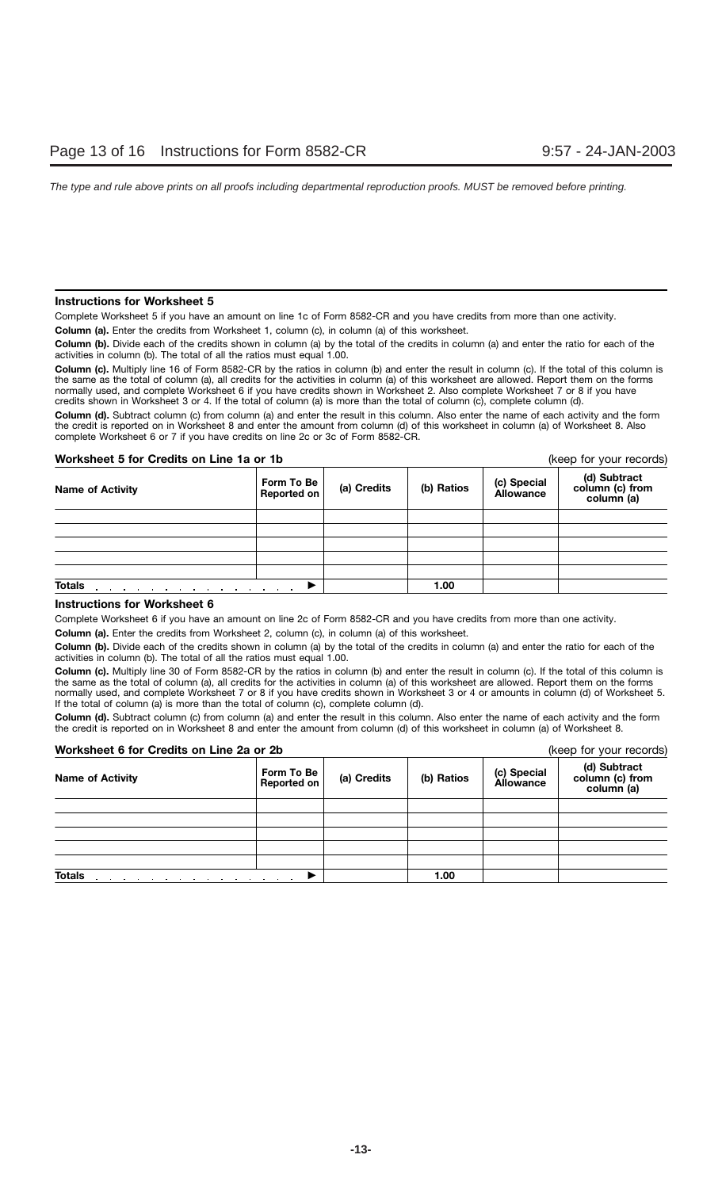### **Instructions for Worksheet 5**

Complete Worksheet 5 if you have an amount on line 1c of Form 8582-CR and you have credits from more than one activity.

**Column (a).** Enter the credits from Worksheet 1, column (c), in column (a) of this worksheet.

**Column (b).** Divide each of the credits shown in column (a) by the total of the credits in column (a) and enter the ratio for each of the activities in column (b). The total of all the ratios must equal 1.00.

**Column (c).** Multiply line 16 of Form 8582-CR by the ratios in column (b) and enter the result in column (c). If the total of this column is the same as the total of column (a), all credits for the activities in column (a) of this worksheet are allowed. Report them on the forms normally used, and complete Worksheet 6 if you have credits shown in Worksheet 2. Also complete Worksheet 7 or 8 if you have credits shown in Worksheet 3 or 4. If the total of column (a) is more than the total of column (c), complete column (d).

**Column (d).** Subtract column (c) from column (a) and enter the result in this column. Also enter the name of each activity and the form the credit is reported on in Worksheet 8 and enter the amount from column (d) of this worksheet in column (a) of Worksheet 8. Also complete Worksheet 6 or 7 if you have credits on line 2c or 3c of Form 8582-CR.

### **Worksheet 5 for Credits on Line 1a or 1b** (keep for your records)

| <b>Name of Activity</b> | Form To Be<br>Reported on | (a) Credits | (b) Ratios | (c) Special<br>Allowance | (d) Subtract<br>column (c) from<br>column (a) |
|-------------------------|---------------------------|-------------|------------|--------------------------|-----------------------------------------------|
|                         |                           |             |            |                          |                                               |
|                         |                           |             |            |                          |                                               |
|                         |                           |             |            |                          |                                               |
|                         |                           |             |            |                          |                                               |
|                         |                           |             |            |                          |                                               |
| <b>Totals</b>           |                           |             | 1.00       |                          |                                               |

### **Instructions for Worksheet 6**

Complete Worksheet 6 if you have an amount on line 2c of Form 8582-CR and you have credits from more than one activity.

**Column (a).** Enter the credits from Worksheet 2, column (c), in column (a) of this worksheet.

**Column (b).** Divide each of the credits shown in column (a) by the total of the credits in column (a) and enter the ratio for each of the activities in column (b). The total of all the ratios must equal 1.00.

**Column (c).** Multiply line 30 of Form 8582-CR by the ratios in column (b) and enter the result in column (c). If the total of this column is the same as the total of column (a), all credits for the activities in column (a) of this worksheet are allowed. Report them on the forms normally used, and complete Worksheet 7 or 8 if you have credits shown in Worksheet 3 or 4 or amounts in column (d) of Worksheet 5. If the total of column (a) is more than the total of column (c), complete column (d).

**Column (d).** Subtract column (c) from column (a) and enter the result in this column. Also enter the name of each activity and the form the credit is reported on in Worksheet 8 and enter the amount from column (d) of this worksheet in column (a) of Worksheet 8.

### **Worksheet 6 for Credits on Line 2a or 2b** (keep for your records)

| WORKSHEEL 6 TOP Credits on Line za or zd    |                           |             |            |                          | (Keep for your records)                       |
|---------------------------------------------|---------------------------|-------------|------------|--------------------------|-----------------------------------------------|
| <b>Name of Activity</b>                     | Form To Be<br>Reported on | (a) Credits | (b) Ratios | (c) Special<br>Allowance | (d) Subtract<br>column (c) from<br>column (a) |
|                                             |                           |             |            |                          |                                               |
|                                             |                           |             |            |                          |                                               |
|                                             |                           |             |            |                          |                                               |
|                                             |                           |             |            |                          |                                               |
|                                             |                           |             |            |                          |                                               |
| <b>Totals</b><br>the company of the company |                           | 1.00        |            |                          |                                               |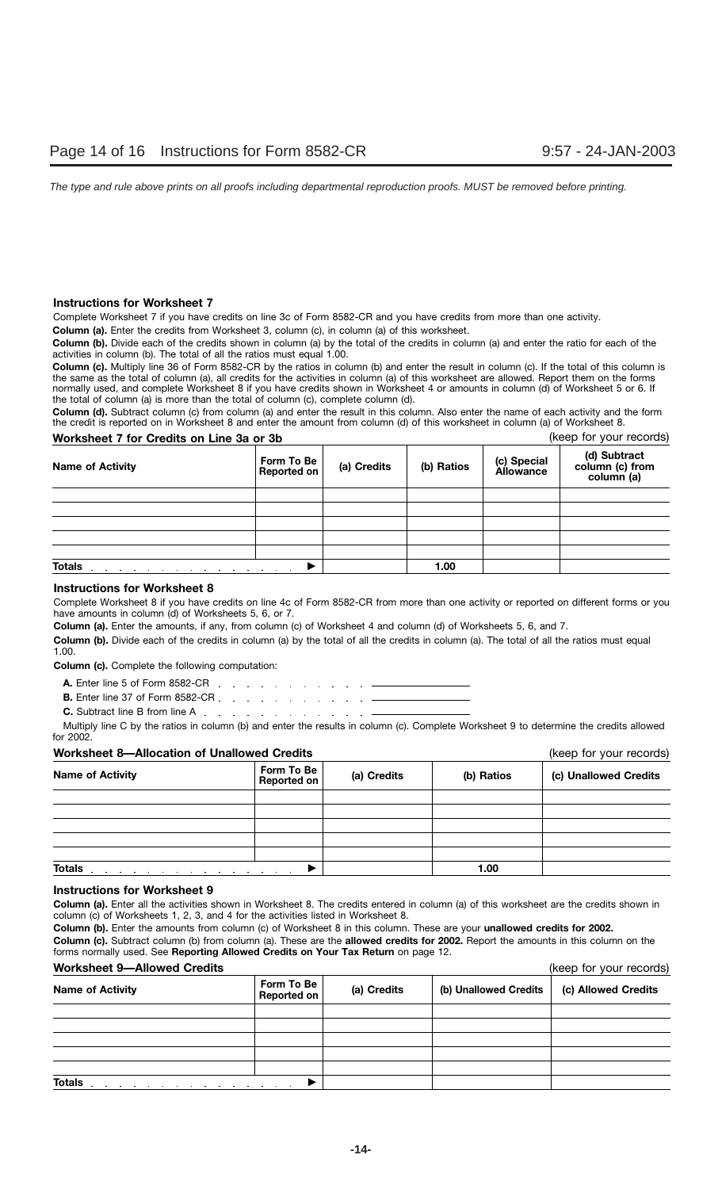### **Instructions for Worksheet 7**

Complete Worksheet 7 if you have credits on line 3c of Form 8582-CR and you have credits from more than one activity.

**Column (a).** Enter the credits from Worksheet 3, column (c), in column (a) of this worksheet.

**Column (b).** Divide each of the credits shown in column (a) by the total of the credits in column (a) and enter the ratio for each of the activities in column (b). The total of all the ratios must equal 1.00.

**Column (c).** Multiply line 36 of Form 8582-CR by the ratios in column (b) and enter the result in column (c). If the total of this column is the same as the total of column (a), all credits for the activities in column (a) of this worksheet are allowed. Report them on the forms normally used, and complete Worksheet 8 if you have credits shown in Worksheet 4 or amounts in column (d) of Worksheet 5 or 6. If the total of column (a) is more than the total of column (c), complete column (d).

**Column (d).** Subtract column (c) from column (a) and enter the result in this column. Also enter the name of each activity and the form the credit is reported on in Worksheet 8 and enter the amount from column (d) of this worksheet in column (a) of Worksheet 8.

### **Worksheet 7 for Credits on Line 3a or 3b Credity and Credity Credit Credit Credit Credit Credit Credit Credit Credit Credit Credit Credit Credit Credit Credit Credit Credit Credit Credit Credit Credit Credit Credit Credit**

| <b>Name of Activity</b>                                                                                  | Form To Be<br><b>Reported on</b> | (a) Credits | (b) Ratios | (c) Special<br>Allowance | (d) Subtract<br>column (c) from<br>column (a) |
|----------------------------------------------------------------------------------------------------------|----------------------------------|-------------|------------|--------------------------|-----------------------------------------------|
|                                                                                                          |                                  |             |            |                          |                                               |
|                                                                                                          |                                  |             |            |                          |                                               |
|                                                                                                          |                                  |             |            |                          |                                               |
|                                                                                                          |                                  |             |            |                          |                                               |
|                                                                                                          |                                  |             |            |                          |                                               |
| <b>Totals</b><br>the control of the control of the control of the<br>the contract of the contract of the |                                  | 1.00        |            |                          |                                               |

### **Instructions for Worksheet 8**

Complete Worksheet 8 if you have credits on line 4c of Form 8582-CR from more than one activity or reported on different forms or you have amounts in column (d) of Worksheets 5, 6, or 7.

**Column (a).** Enter the amounts, if any, from column (c) of Worksheet 4 and column (d) of Worksheets 5, 6, and 7.

**Column (b).** Divide each of the credits in column (a) by the total of all the credits in column (a). The total of all the ratios must equal 1.00.

**Column (c).** Complete the following computation:

- **A.** Enter line 5 of Form 8582-CR
- **B.** Enter line 37 of Form 8582-CR . . . . . . . . . . . . . -
- **C.** Subtract line B from line A

Multiply line C by the ratios in column (b) and enter the results in column (c). Complete Worksheet 9 to determine the credits allowed for 2002.

### **Worksheet 8—Allocation of Unallowed Credits** (keep for your records)

**(a) Credits (b) Ratios (c) Unallowed Credits Form To Be Name of Activity Totals** -**1.00** 

### **Instructions for Worksheet 9**

**Column (a).** Enter all the activities shown in Worksheet 8. The credits entered in column (a) of this worksheet are the credits shown in column (c) of Worksheets 1, 2, 3, and 4 for the activities listed in Worksheet 8.

**Column (b).** Enter the amounts from column (c) of Worksheet 8 in this column. These are your **unallowed credits for 2002.**

**Column (c).** Subtract column (b) from column (a). These are the **allowed credits for 2002.** Report the amounts in this column on the forms normally used. See **Reporting Allowed Credits on Your Tax Return** on page 12.

### **Worksheet 9—Allowed Credits** (keep for your records)

|                         |                                  |             |                       | $\frac{1}{2}$       |
|-------------------------|----------------------------------|-------------|-----------------------|---------------------|
| <b>Name of Activity</b> | Form To Be<br><b>Reported on</b> | (a) Credits | (b) Unallowed Credits | (c) Allowed Credits |
|                         |                                  |             |                       |                     |
|                         |                                  |             |                       |                     |
|                         |                                  |             |                       |                     |
|                         |                                  |             |                       |                     |
|                         |                                  |             |                       |                     |
| <b>Totals</b>           |                                  |             |                       |                     |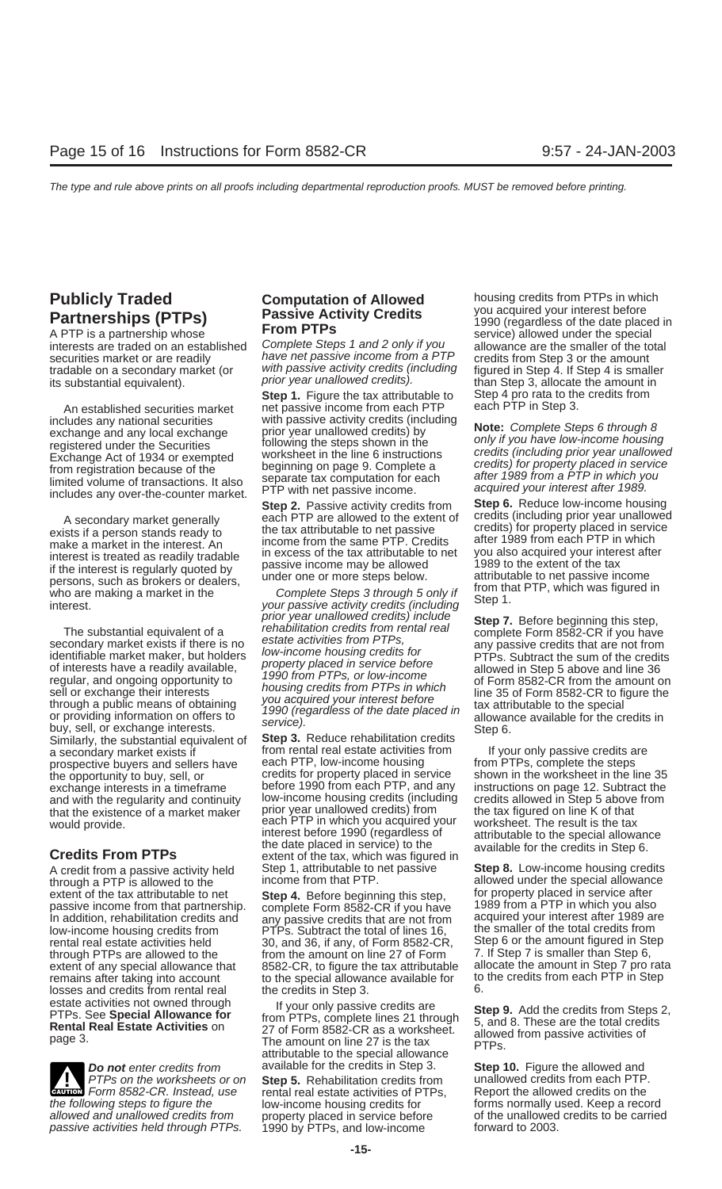A PTP is a partnership whose **EXECUTE ALLOWANCE Allowance** allowed under the special interests are traded on an established Complete Steps 1 and 2 only if you allowance are the smaller of the total tradable on a secondary market (or with passive activity credits (including figured in Step 4. If Step 4 is smaller its substantial equivalent). This substantial equivalent).

includes any national securities with passive activity credits (including<br>exchange and any local exchange prior year unallowed credits) by **Note:** Complete Steps 6 through 8<br>registered under the Securities following the st registered under the Securities<br>
Exchange Act of 1934 or exempted<br>
from registration because of the<br>
limited volume of transactions. It also<br>
includes any over-the-counter market.<br>
Step 2 Passive activity credits from<br>
Ste

The substantial equivalent of a<br>secondary market exists if there is no<br>identifiable market exists if there is no<br>identifiable market maker, but holders<br>identifiable market maker, but holders<br>of interests have a readily ava Similarly, the substantial equivalent of **Step 3.** Reduce rehabilitation credits<br>a secondary market exists if from rental real estate activities from if your only passive credits are<br>prospective buyers and sellers have eac prospective buyers and sellers have each PTP, low-income housing from PTPs, complete the steps<br>the opportunity to buy, sell, or exactles for property placed in service shown in the worksheet in the li the opportunity to buy, sell, or credits for property placed in service shown in the worksheet in the line 35<br>exchange interests in a timeframe before 1990 from each PTP, and any instructions on page 12. Subtract the exchange interests in a timeframe before 1990 from each PTP, and any instructions on page 12. Subtract the and with the regularity and continuity low-income housing credits (including credits allowed in Step 5 above from that the existence of a market maker prior year unallowed credits) from the tax figured on line K of that<br>would provide. each PTP in which you acquired your worksheet. The result is the tax

A credit from a passive activity held Step 1, attributable to net passive **Step 8.** Low-income housing credits<br>
through a PTP is allowed to the **income from that PTP**. Allowed under the special allowance through a PTP is allowed to the income from that PTP.<br>
extent of the tax attributable to net Step 4. Before beginning this step for property placed in service after low-income housing credits from PTPs. Subtract the total of lines 16, the smaller ental real estate activities held 30, and 36, if any, of Form 8582-CF losses and credits from rental real the credits in Step 3.<br>estate activities not owned through the vour only passive

**CAUTON** Form 8582-CR. Instead, use rental real estate activities of PTPs, the following steps to figure the allow-income housing credits for **ENTION** Form 8582-CR. Instead, use allowed and unallowed credits from property placed in service before of the unallowed<br>
passive activities held through PTPs. 1990 by PTPs, and low-income forward to 2003. passive activities held through PTPs.

securities market or are readily have net passive income from a PTP credits from Step 3 or the amount tradable on a secondary market (or with passive activity credits (including figured in Step 4. If Step 4 is small

**Step 1.** Figure the tax attributable to Step 4 pro rata to the credits from net passive income from each PTP each PTP in Step 3. An established securities market net passive income from each PTP<br>studes any pational securities each with passive activity credits (including

**Step 2.** Passive activity credits from **Step 6.** Reduce low-income housing each PTP are allowed to the extent of credits (including prior year unallowed

low-income housing credits (including credits allowed in Step 5 above<br>prior year unallowed credits) from the tax figured on line K of that would provide. The result is the tax each PTP in which you acquired your worksheet. The result is the tax interest before 1990 (regardless of attributable to the special allowance **Credits From PTPs** the date placed in service) to the available for the credits in Step 6. **Credits From PTPs** extent of the tax, which was figured in

extent of the tax attributable to net **Step 4.** Before beginning this step, for property placed in service after<br>nassive income from that partnership complete Form 8582-CR if you have 1989 from a PTP in which you also passive income from that partnership. complete Form 8582-CR if you have 1989 from a PTP in which you also<br>In addition, rehabilitation credits and any passive credits that are not from acquired your interest after 1989 are In addition, rehabilitation credits and any passive credits that are not from acquired your interest after 1989 are<br>low-income housing credits from PTPs. Subtract the total of lines 16, the smaller of the total credits fro rental real estate activities held 30, and 36, if any, of Form 8582-CR, Step 6 or the amount figured in Step through PTPs are allowed to the from the amount on line 27 of Form 7. If Step 7 is smaller than Step 6, from the amount on line 27 of Form  $\,$  7. If Step 7 is smaller than Step 6, as 8582-CR, to figure the tax attributable allocate the amount in Step 7 pro rata extent of any special allowance that 8582-CR, to figure the tax attributable allocate the amount in Step 7 pro rata<br>remains after taking into account the special allowance available for to the credits from each PTP in Step remains after taking into account to the special allowance available for to to the credits in Step 3

estate activities not owned through the set of the passive credits are<br>
PTPs. See **Special Allowance for** trom PTPs, complete lines 21 through 5, and 8. These are the total credits<br> **Rental Real Estate Activities** on 27 of

PTPs on the worksheets or on **Step 5.** Rehabilitation credits from unallowed credits from each PTP.

**Publicly Traded Computation of Allowed** housing credits from PTPs in which<br>**Partnershins (PTPs)** Passive Activity Credits and the determined variable product and the determined variable **Partnerships (PTPs) Passive Activity Credits** and the martnerst before **Partnerships (PTPs) Passive Activity Credits** 1990 (regardless of the date placed in a PTP is a partnership whose **From PTPs** 

A secondary market generally<br>exists if a person stands ready to<br>make a market in the interest. An<br>interest is treated as readily tradable<br>interest is regularly quoted by<br>interest is regularly quoted by<br>interest is regularl

**Do not** enter credits from available for the credits in Step 3. **Step 10.** Figure the allowed and **PTPs** on the worksheets or on **Step 5.** Rehabilitation credits from unallowed credits from each PTP. the follow-income housing credits for forms normally used. Keep a record<br>the unallowed credits to be carried<br>property placed in service before forms of the unallowed credits to be carried